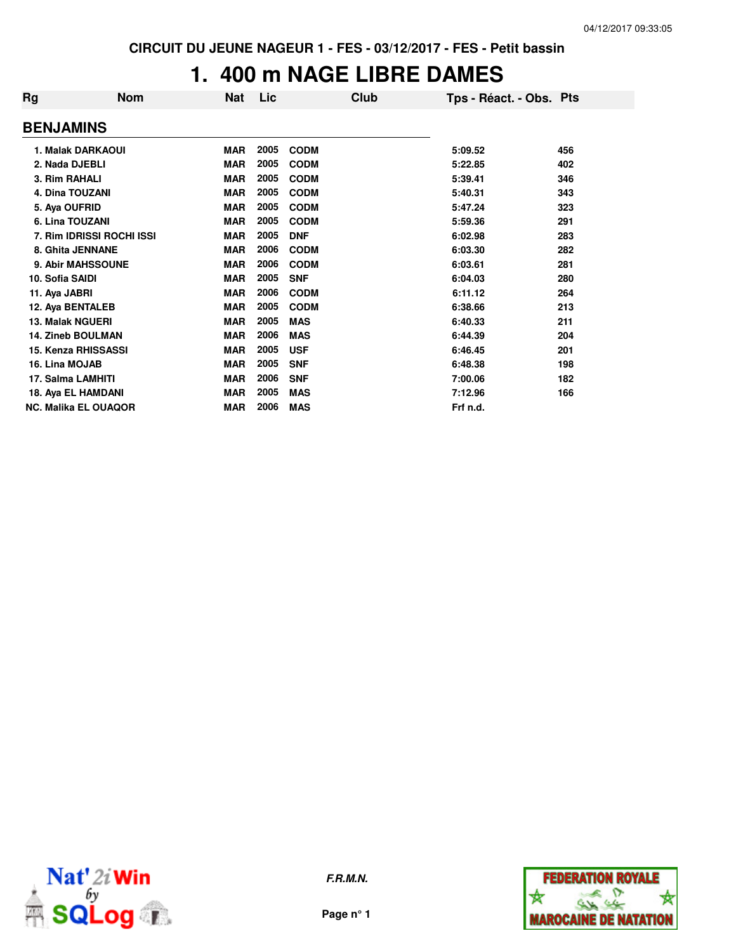#### **1. 400 m NAGE LIBRE DAMES**

| Rg                          | <b>Nom</b>                | <b>Nat</b> | Lic  | Club        | Tps - Réact. - Obs. Pts |     |
|-----------------------------|---------------------------|------------|------|-------------|-------------------------|-----|
| <b>BENJAMINS</b>            |                           |            |      |             |                         |     |
| 1. Malak DARKAOUI           |                           | <b>MAR</b> | 2005 | <b>CODM</b> | 5:09.52                 | 456 |
| 2. Nada DJEBLI              |                           | <b>MAR</b> | 2005 | <b>CODM</b> | 5:22.85                 | 402 |
| 3. Rim RAHALI               |                           | <b>MAR</b> | 2005 | <b>CODM</b> | 5:39.41                 | 346 |
| <b>4. Dina TOUZANI</b>      |                           | <b>MAR</b> | 2005 | <b>CODM</b> | 5:40.31                 | 343 |
| 5. Aya OUFRID               |                           | <b>MAR</b> | 2005 | <b>CODM</b> | 5:47.24                 | 323 |
| 6. Lina TOUZANI             |                           | <b>MAR</b> | 2005 | <b>CODM</b> | 5:59.36                 | 291 |
|                             | 7. Rim IDRISSI ROCHI ISSI | <b>MAR</b> | 2005 | <b>DNF</b>  | 6:02.98                 | 283 |
| 8. Ghita JENNANE            |                           | <b>MAR</b> | 2006 | <b>CODM</b> | 6:03.30                 | 282 |
| 9. Abir MAHSSOUNE           |                           | <b>MAR</b> | 2006 | <b>CODM</b> | 6:03.61                 | 281 |
| 10. Sofia SAIDI             |                           | <b>MAR</b> | 2005 | <b>SNF</b>  | 6:04.03                 | 280 |
| 11. Aya JABRI               |                           | <b>MAR</b> | 2006 | <b>CODM</b> | 6:11.12                 | 264 |
| 12. Aya BENTALEB            |                           | <b>MAR</b> | 2005 | <b>CODM</b> | 6:38.66                 | 213 |
| <b>13. Malak NGUERI</b>     |                           | <b>MAR</b> | 2005 | <b>MAS</b>  | 6:40.33                 | 211 |
| <b>14. Zineb BOULMAN</b>    |                           | <b>MAR</b> | 2006 | <b>MAS</b>  | 6:44.39                 | 204 |
| <b>15. Kenza RHISSASSI</b>  |                           | <b>MAR</b> | 2005 | <b>USF</b>  | 6:46.45                 | 201 |
| 16. Lina MOJAB              |                           | <b>MAR</b> | 2005 | <b>SNF</b>  | 6:48.38                 | 198 |
| 17. Salma LAMHITI           |                           | <b>MAR</b> | 2006 | <b>SNF</b>  | 7:00.06                 | 182 |
| 18. Aya EL HAMDANI          |                           | <b>MAR</b> | 2005 | <b>MAS</b>  | 7:12.96                 | 166 |
| <b>NC. Malika EL OUAQOR</b> |                           | <b>MAR</b> | 2006 | <b>MAS</b>  | Frf n.d.                |     |



**F.R.M.N.**

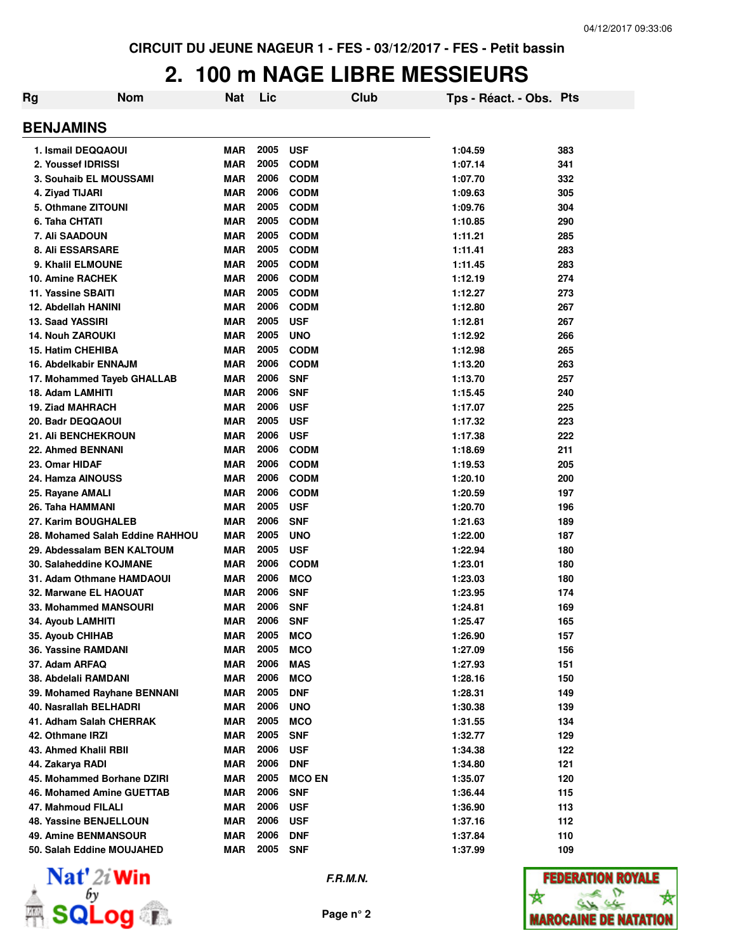### **2. 100 m NAGE LIBRE MESSIEURS**

| Rg                            | <b>Nom</b>                      | <b>Nat</b> | Lic  |               | Club | Tps - Réact. - Obs. Pts |     |
|-------------------------------|---------------------------------|------------|------|---------------|------|-------------------------|-----|
| <b>BENJAMINS</b>              |                                 |            |      |               |      |                         |     |
| 1. Ismail DEQQAOUI            |                                 | <b>MAR</b> | 2005 | <b>USF</b>    |      | 1:04.59                 | 383 |
| 2. Youssef IDRISSI            |                                 | <b>MAR</b> | 2005 | <b>CODM</b>   |      | 1:07.14                 | 341 |
| 3. Souhaib EL MOUSSAMI        |                                 | <b>MAR</b> | 2006 | <b>CODM</b>   |      | 1:07.70                 | 332 |
| 4. Ziyad TIJARI               |                                 | <b>MAR</b> | 2006 | <b>CODM</b>   |      | 1:09.63                 | 305 |
| 5. Othmane ZITOUNI            |                                 | <b>MAR</b> | 2005 | <b>CODM</b>   |      | 1:09.76                 | 304 |
| 6. Taha CHTATI                |                                 | <b>MAR</b> | 2005 | <b>CODM</b>   |      | 1:10.85                 | 290 |
| 7. Ali SAADOUN                |                                 | <b>MAR</b> | 2005 | <b>CODM</b>   |      | 1:11.21                 | 285 |
| 8. Ali ESSARSARE              |                                 | <b>MAR</b> | 2005 | <b>CODM</b>   |      | 1:11.41                 | 283 |
| 9. Khalil ELMOUNE             |                                 | <b>MAR</b> | 2005 | <b>CODM</b>   |      | 1:11.45                 | 283 |
| 10. Amine RACHEK              |                                 | <b>MAR</b> | 2006 | <b>CODM</b>   |      | 1:12.19                 | 274 |
| 11. Yassine SBAITI            |                                 | <b>MAR</b> | 2005 | <b>CODM</b>   |      | 1:12.27                 | 273 |
| 12. Abdellah HANINI           |                                 | <b>MAR</b> | 2006 | <b>CODM</b>   |      | 1:12.80                 | 267 |
| 13. Saad YASSIRI              |                                 | <b>MAR</b> | 2005 | <b>USF</b>    |      | 1:12.81                 | 267 |
| <b>14. Nouh ZAROUKI</b>       |                                 | <b>MAR</b> | 2005 | <b>UNO</b>    |      | 1:12.92                 | 266 |
| <b>15. Hatim CHEHIBA</b>      |                                 | <b>MAR</b> | 2005 | <b>CODM</b>   |      | 1:12.98                 | 265 |
| 16. Abdelkabir ENNAJM         |                                 | <b>MAR</b> | 2006 | <b>CODM</b>   |      | 1:13.20                 | 263 |
|                               | 17. Mohammed Tayeb GHALLAB      | <b>MAR</b> | 2006 | <b>SNF</b>    |      | 1:13.70                 | 257 |
| 18. Adam LAMHITI              |                                 | <b>MAR</b> | 2006 | <b>SNF</b>    |      | 1:15.45                 | 240 |
| <b>19. Ziad MAHRACH</b>       |                                 | <b>MAR</b> | 2006 | <b>USF</b>    |      | 1:17.07                 | 225 |
| 20. Badr DEQQAOUI             |                                 | <b>MAR</b> | 2005 | <b>USF</b>    |      | 1:17.32                 | 223 |
| <b>21. Ali BENCHEKROUN</b>    |                                 | <b>MAR</b> | 2006 | <b>USF</b>    |      | 1:17.38                 | 222 |
| 22. Ahmed BENNANI             |                                 | <b>MAR</b> | 2006 | <b>CODM</b>   |      | 1:18.69                 | 211 |
| 23. Omar HIDAF                |                                 | <b>MAR</b> | 2006 | <b>CODM</b>   |      | 1:19.53                 | 205 |
| 24. Hamza AINOUSS             |                                 | <b>MAR</b> | 2006 | <b>CODM</b>   |      | 1:20.10                 | 200 |
| 25. Rayane AMALI              |                                 | <b>MAR</b> | 2006 | <b>CODM</b>   |      | 1:20.59                 | 197 |
| 26. Taha HAMMANI              |                                 | <b>MAR</b> | 2005 | <b>USF</b>    |      | 1:20.70                 | 196 |
| 27. Karim BOUGHALEB           |                                 | <b>MAR</b> | 2006 | <b>SNF</b>    |      | 1:21.63                 | 189 |
|                               | 28. Mohamed Salah Eddine RAHHOU | <b>MAR</b> | 2005 | <b>UNO</b>    |      | 1:22.00                 | 187 |
|                               | 29. Abdessalam BEN KALTOUM      | <b>MAR</b> | 2005 | <b>USF</b>    |      | 1:22.94                 | 180 |
| 30. Salaheddine KOJMANE       |                                 | <b>MAR</b> | 2006 | <b>CODM</b>   |      | 1:23.01                 | 180 |
|                               | 31. Adam Othmane HAMDAOUI       | <b>MAR</b> | 2006 | <b>MCO</b>    |      | 1:23.03                 | 180 |
| 32. Marwane EL HAOUAT         |                                 | <b>MAR</b> | 2006 | <b>SNF</b>    |      | 1:23.95                 | 174 |
| 33. Mohammed MANSOURI         |                                 | <b>MAR</b> | 2006 | <b>SNF</b>    |      | 1:24.81                 | 169 |
| 34. Ayoub LAMHITI             |                                 | <b>MAR</b> | 2006 | <b>SNF</b>    |      | 1:25.47                 | 165 |
| 35. Ayoub CHIHAB              |                                 | <b>MAR</b> | 2005 | <b>MCO</b>    |      | 1:26.90                 | 157 |
| 36. Yassine RAMDANI           |                                 | <b>MAR</b> | 2005 | <b>MCO</b>    |      | 1:27.09                 | 156 |
| 37. Adam ARFAQ                |                                 | <b>MAR</b> | 2006 | <b>MAS</b>    |      | 1:27.93                 | 151 |
| 38. Abdelali RAMDANI          |                                 | <b>MAR</b> | 2006 | <b>MCO</b>    |      | 1:28.16                 | 150 |
|                               | 39. Mohamed Rayhane BENNANI     | <b>MAR</b> | 2005 | <b>DNF</b>    |      | 1:28.31                 | 149 |
| 40. Nasrallah BELHADRI        |                                 | <b>MAR</b> | 2006 | <b>UNO</b>    |      | 1:30.38                 | 139 |
| 41. Adham Salah CHERRAK       |                                 | <b>MAR</b> | 2005 | <b>MCO</b>    |      | 1:31.55                 | 134 |
| 42. Othmane IRZI              |                                 | <b>MAR</b> | 2005 | <b>SNF</b>    |      | 1:32.77                 | 129 |
| 43. Ahmed Khalil RBII         |                                 | <b>MAR</b> | 2006 | <b>USF</b>    |      | 1:34.38                 | 122 |
| 44. Zakarya RADI              |                                 | <b>MAR</b> | 2006 | <b>DNF</b>    |      | 1:34.80                 | 121 |
|                               | 45. Mohammed Borhane DZIRI      | <b>MAR</b> | 2005 | <b>MCO EN</b> |      | 1:35.07                 | 120 |
|                               | 46. Mohamed Amine GUETTAB       | <b>MAR</b> | 2006 | <b>SNF</b>    |      | 1:36.44                 | 115 |
| 47. Mahmoud FILALI            |                                 | <b>MAR</b> | 2006 | <b>USF</b>    |      | 1:36.90                 | 113 |
| <b>48. Yassine BENJELLOUN</b> |                                 | <b>MAR</b> | 2006 | <b>USF</b>    |      | 1:37.16                 | 112 |
| <b>49. Amine BENMANSOUR</b>   |                                 | <b>MAR</b> | 2006 | <b>DNF</b>    |      | 1:37.84                 | 110 |
| 50. Salah Eddine MOUJAHED     |                                 | <b>MAR</b> | 2005 | <b>SNF</b>    |      | 1:37.99                 | 109 |



**Page n° 2**

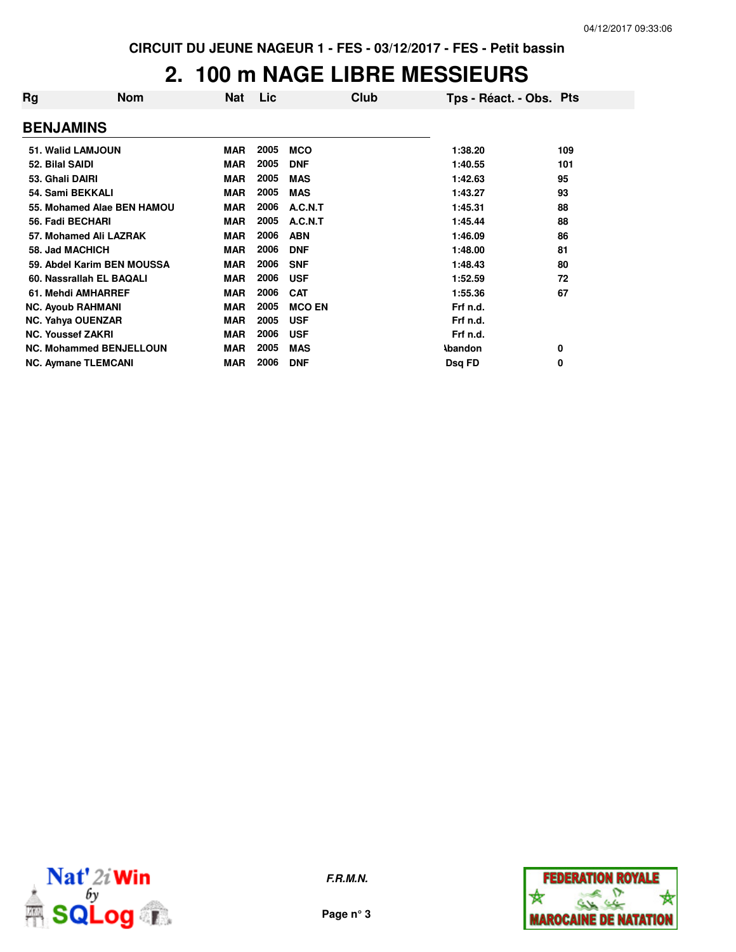### **2. 100 m NAGE LIBRE MESSIEURS**

| Rg                       | <b>Nom</b>                     | <b>Nat</b> | Lic  | Club          | Tps - Réact. - Obs. Pts |     |
|--------------------------|--------------------------------|------------|------|---------------|-------------------------|-----|
| <b>BENJAMINS</b>         |                                |            |      |               |                         |     |
|                          | 51. Walid LAMJOUN              | <b>MAR</b> | 2005 | <b>MCO</b>    | 1:38.20                 | 109 |
| 52. Bilal SAIDI          |                                | <b>MAR</b> | 2005 | <b>DNF</b>    | 1:40.55                 | 101 |
| 53. Ghali DAIRI          |                                | <b>MAR</b> | 2005 | <b>MAS</b>    | 1:42.63                 | 95  |
| 54. Sami BEKKALI         |                                | <b>MAR</b> | 2005 | <b>MAS</b>    | 1:43.27                 | 93  |
|                          | 55. Mohamed Alae BEN HAMOU     | <b>MAR</b> | 2006 | A.C.N.T       | 1:45.31                 | 88  |
| 56. Fadi BECHARI         |                                | <b>MAR</b> | 2005 | A.C.N.T       | 1:45.44                 | 88  |
|                          | 57. Mohamed Ali LAZRAK         | <b>MAR</b> | 2006 | <b>ABN</b>    | 1:46.09                 | 86  |
| 58. Jad MACHICH          |                                | <b>MAR</b> | 2006 | <b>DNF</b>    | 1:48.00                 | 81  |
|                          | 59. Abdel Karim BEN MOUSSA     | <b>MAR</b> | 2006 | <b>SNF</b>    | 1:48.43                 | 80  |
|                          | 60. Nassrallah EL BAQALI       | <b>MAR</b> | 2006 | <b>USF</b>    | 1:52.59                 | 72  |
|                          | 61. Mehdi AMHARREF             | <b>MAR</b> | 2006 | <b>CAT</b>    | 1:55.36                 | 67  |
|                          | <b>NC. Ayoub RAHMANI</b>       | <b>MAR</b> | 2005 | <b>MCO EN</b> | Frf n.d.                |     |
|                          | <b>NC. Yahya OUENZAR</b>       | <b>MAR</b> | 2005 | <b>USF</b>    | Frf n.d.                |     |
| <b>NC. Youssef ZAKRI</b> |                                | <b>MAR</b> | 2006 | <b>USF</b>    | Frf n.d.                |     |
|                          | <b>NC. Mohammed BENJELLOUN</b> | <b>MAR</b> | 2005 | <b>MAS</b>    | <b>Abandon</b>          | 0   |
|                          | <b>NC. Aymane TLEMCANI</b>     | <b>MAR</b> | 2006 | <b>DNF</b>    | Dsg FD                  | 0   |



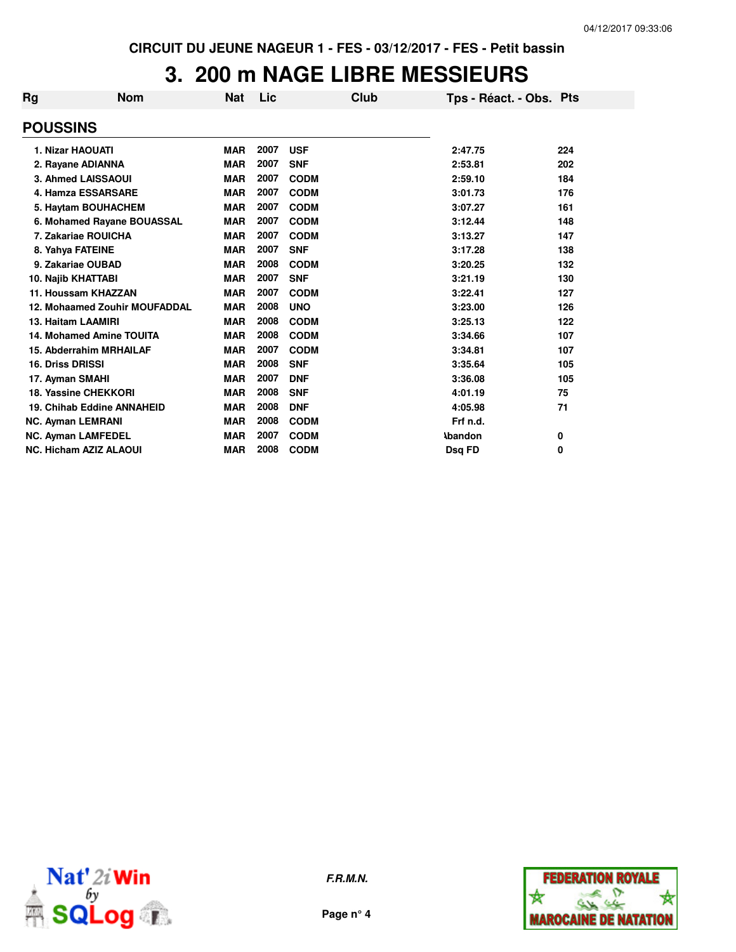### **3. 200 m NAGE LIBRE MESSIEURS**

| Rg | <b>Nom</b>                           | Nat        | Lic  | Club        | Tps - Réact. - Obs. Pts |     |
|----|--------------------------------------|------------|------|-------------|-------------------------|-----|
|    | <b>POUSSINS</b>                      |            |      |             |                         |     |
|    | <b>1. Nizar HAOUATI</b>              | <b>MAR</b> | 2007 | <b>USF</b>  | 2:47.75                 | 224 |
|    | 2. Rayane ADIANNA                    | <b>MAR</b> | 2007 | <b>SNF</b>  | 2:53.81                 | 202 |
|    | 3. Ahmed LAISSAOUI                   | <b>MAR</b> | 2007 | <b>CODM</b> | 2:59.10                 | 184 |
|    | 4. Hamza ESSARSARE                   | <b>MAR</b> | 2007 | <b>CODM</b> | 3:01.73                 | 176 |
|    | 5. Haytam BOUHACHEM                  | <b>MAR</b> | 2007 | <b>CODM</b> | 3:07.27                 | 161 |
|    | 6. Mohamed Rayane BOUASSAL           | <b>MAR</b> | 2007 | <b>CODM</b> | 3:12.44                 | 148 |
|    | 7. Zakariae ROUICHA                  | <b>MAR</b> | 2007 | <b>CODM</b> | 3:13.27                 | 147 |
|    | 8. Yahya FATEINE                     | <b>MAR</b> | 2007 | <b>SNF</b>  | 3:17.28                 | 138 |
|    | 9. Zakariae OUBAD                    | <b>MAR</b> | 2008 | <b>CODM</b> | 3:20.25                 | 132 |
|    | 10. Najib KHATTABI                   | <b>MAR</b> | 2007 | <b>SNF</b>  | 3:21.19                 | 130 |
|    | 11. Houssam KHAZZAN                  | <b>MAR</b> | 2007 | <b>CODM</b> | 3:22.41                 | 127 |
|    | <b>12. Mohaamed Zouhir MOUFADDAL</b> | <b>MAR</b> | 2008 | <b>UNO</b>  | 3:23.00                 | 126 |
|    | 13. Haitam LAAMIRI                   | <b>MAR</b> | 2008 | <b>CODM</b> | 3:25.13                 | 122 |
|    | <b>14. Mohamed Amine TOUITA</b>      | <b>MAR</b> | 2008 | <b>CODM</b> | 3:34.66                 | 107 |
|    | 15. Abderrahim MRHAILAF              | <b>MAR</b> | 2007 | <b>CODM</b> | 3:34.81                 | 107 |
|    | 16. Driss DRISSI                     | <b>MAR</b> | 2008 | <b>SNF</b>  | 3:35.64                 | 105 |
|    | 17. Ayman SMAHI                      | <b>MAR</b> | 2007 | <b>DNF</b>  | 3:36.08                 | 105 |
|    | 18. Yassine CHEKKORI                 | <b>MAR</b> | 2008 | <b>SNF</b>  | 4:01.19                 | 75  |
|    | 19. Chihab Eddine ANNAHEID           | <b>MAR</b> | 2008 | <b>DNF</b>  | 4:05.98                 | 71  |
|    | <b>NC. Ayman LEMRANI</b>             | <b>MAR</b> | 2008 | <b>CODM</b> | Frf n.d.                |     |
|    | <b>NC. Ayman LAMFEDEL</b>            | <b>MAR</b> | 2007 | <b>CODM</b> | <b>\bandon</b>          | 0   |
|    | <b>NC. Hicham AZIZ ALAOUI</b>        | <b>MAR</b> | 2008 | <b>CODM</b> | Dsq FD                  | 0   |



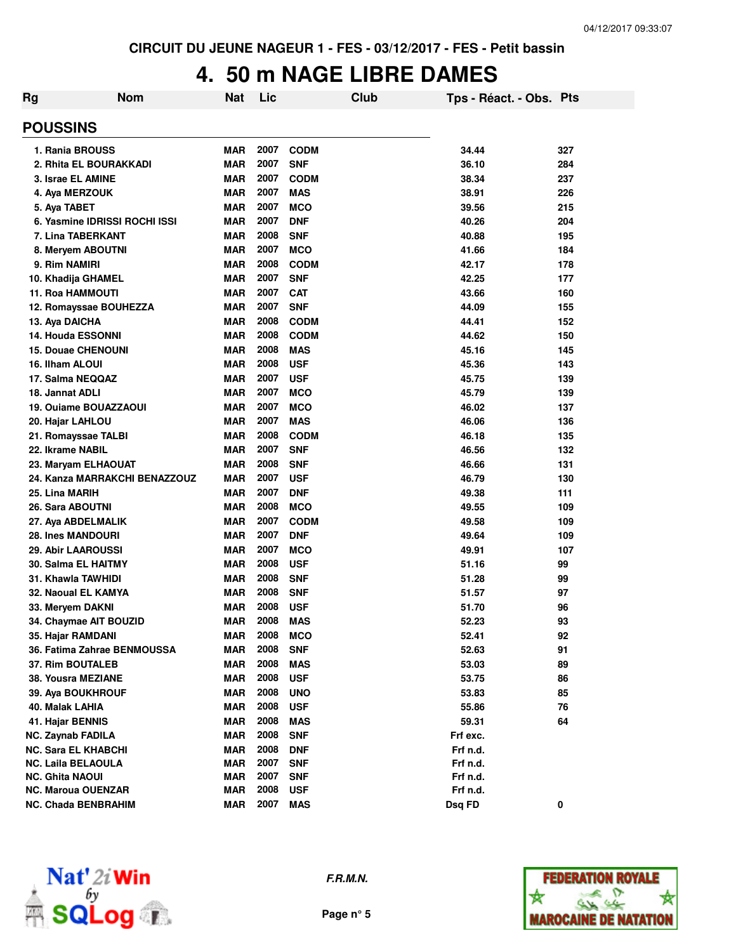### **4. 50 m NAGE LIBRE DAMES**

| Rg | <b>Nom</b>                    | Nat        | Lic  | Club        | Tps - Réact. - Obs. Pts |     |
|----|-------------------------------|------------|------|-------------|-------------------------|-----|
|    | <b>POUSSINS</b>               |            |      |             |                         |     |
|    | 1. Rania BROUSS               | MAR        | 2007 | <b>CODM</b> | 34.44                   | 327 |
|    | 2. Rhita EL BOURAKKADI        | <b>MAR</b> | 2007 | <b>SNF</b>  | 36.10                   | 284 |
|    | 3. Israe EL AMINE             | <b>MAR</b> | 2007 | <b>CODM</b> | 38.34                   | 237 |
|    | 4. Aya MERZOUK                | <b>MAR</b> | 2007 | MAS         | 38.91                   | 226 |
|    | 5. Aya TABET                  | <b>MAR</b> | 2007 | <b>MCO</b>  | 39.56                   | 215 |
|    | 6. Yasmine IDRISSI ROCHI ISSI | <b>MAR</b> | 2007 | <b>DNF</b>  | 40.26                   | 204 |
|    | 7. Lina TABERKANT             | <b>MAR</b> | 2008 | <b>SNF</b>  | 40.88                   | 195 |
|    | 8. Meryem ABOUTNI             | <b>MAR</b> | 2007 | <b>MCO</b>  | 41.66                   | 184 |
|    | 9. Rim NAMIRI                 | <b>MAR</b> | 2008 | <b>CODM</b> | 42.17                   | 178 |
|    | 10. Khadija GHAMEL            | <b>MAR</b> | 2007 | <b>SNF</b>  | 42.25                   | 177 |
|    | 11. Roa HAMMOUTI              | <b>MAR</b> | 2007 | <b>CAT</b>  | 43.66                   | 160 |
|    | 12. Romayssae BOUHEZZA        | <b>MAR</b> | 2007 | <b>SNF</b>  | 44.09                   | 155 |
|    | 13. Aya DAICHA                | <b>MAR</b> | 2008 | <b>CODM</b> | 44.41                   | 152 |
|    | <b>14. Houda ESSONNI</b>      | <b>MAR</b> | 2008 | <b>CODM</b> | 44.62                   | 150 |
|    | <b>15. Douae CHENOUNI</b>     | <b>MAR</b> | 2008 | <b>MAS</b>  | 45.16                   | 145 |
|    | 16. Ilham ALOUI               | <b>MAR</b> | 2008 | <b>USF</b>  | 45.36                   | 143 |
|    | 17. Salma NEQQAZ              | <b>MAR</b> | 2007 | <b>USF</b>  | 45.75                   | 139 |
|    | 18. Jannat ADLI               | <b>MAR</b> | 2007 | <b>MCO</b>  | 45.79                   | 139 |
|    | 19. Ouiame BOUAZZAOUI         | <b>MAR</b> | 2007 | <b>MCO</b>  | 46.02                   | 137 |
|    | 20. Hajar LAHLOU              | <b>MAR</b> | 2007 | <b>MAS</b>  | 46.06                   | 136 |
|    | 21. Romayssae TALBI           | <b>MAR</b> | 2008 | <b>CODM</b> | 46.18                   | 135 |
|    | 22. Ikrame NABIL              | <b>MAR</b> | 2007 | <b>SNF</b>  | 46.56                   | 132 |
|    | 23. Maryam ELHAOUAT           | <b>MAR</b> | 2008 | <b>SNF</b>  | 46.66                   | 131 |
|    | 24. Kanza MARRAKCHI BENAZZOUZ | <b>MAR</b> | 2007 | <b>USF</b>  | 46.79                   | 130 |
|    | 25. Lina MARIH                | <b>MAR</b> | 2007 | <b>DNF</b>  | 49.38                   | 111 |
|    | 26. Sara ABOUTNI              | <b>MAR</b> | 2008 | <b>MCO</b>  | 49.55                   | 109 |
|    | 27. Aya ABDELMALIK            | <b>MAR</b> | 2007 | <b>CODM</b> | 49.58                   | 109 |
|    | <b>28. Ines MANDOURI</b>      | <b>MAR</b> | 2007 | <b>DNF</b>  | 49.64                   | 109 |
|    | <b>29. Abir LAAROUSSI</b>     | <b>MAR</b> | 2007 | <b>MCO</b>  | 49.91                   | 107 |
|    | <b>30. Salma EL HAITMY</b>    | <b>MAR</b> | 2008 | <b>USF</b>  | 51.16                   | 99  |
|    | 31. Khawla TAWHIDI            | <b>MAR</b> | 2008 | <b>SNF</b>  | 51.28                   | 99  |
|    | 32. Naoual EL KAMYA           | <b>MAR</b> | 2008 | <b>SNF</b>  | 51.57                   | 97  |
|    | 33. Meryem DAKNI              | <b>MAR</b> | 2008 | <b>USF</b>  | 51.70                   | 96  |
|    | 34. Chaymae AIT BOUZID        | <b>MAR</b> | 2008 | <b>MAS</b>  | 52.23                   | 93  |
|    | 35. Hajar RAMDANI             | <b>MAR</b> | 2008 | <b>MCO</b>  | 52.41                   | 92  |
|    | 36. Fatima Zahrae BENMOUSSA   | <b>MAR</b> | 2008 | <b>SNF</b>  | 52.63                   | 91  |
|    | 37. Rim BOUTALEB              | <b>MAR</b> | 2008 | <b>MAS</b>  | 53.03                   | 89  |
|    | 38. Yousra MEZIANE            | <b>MAR</b> | 2008 | <b>USF</b>  | 53.75                   | 86  |
|    | 39. Aya BOUKHROUF             | <b>MAR</b> | 2008 | <b>UNO</b>  | 53.83                   | 85  |
|    | 40. Malak LAHIA               | <b>MAR</b> | 2008 | <b>USF</b>  | 55.86                   | 76  |
|    | 41. Hajar BENNIS              | <b>MAR</b> | 2008 | <b>MAS</b>  | 59.31                   | 64  |
|    | <b>NC. Zaynab FADILA</b>      | <b>MAR</b> | 2008 | <b>SNF</b>  | Frf exc.                |     |
|    | <b>NC. Sara EL KHABCHI</b>    | <b>MAR</b> | 2008 | <b>DNF</b>  | Frf n.d.                |     |
|    | <b>NC. Laila BELAOULA</b>     | <b>MAR</b> | 2007 | <b>SNF</b>  | Frf n.d.                |     |
|    | <b>NC. Ghita NAOUI</b>        | <b>MAR</b> | 2007 | <b>SNF</b>  | Frf n.d.                |     |
|    | <b>NC. Maroua OUENZAR</b>     | <b>MAR</b> | 2008 | <b>USF</b>  | Frf n.d.                |     |
|    | <b>NC. Chada BENBRAHIM</b>    | <b>MAR</b> | 2007 | <b>MAS</b>  | Dsq FD                  | 0   |



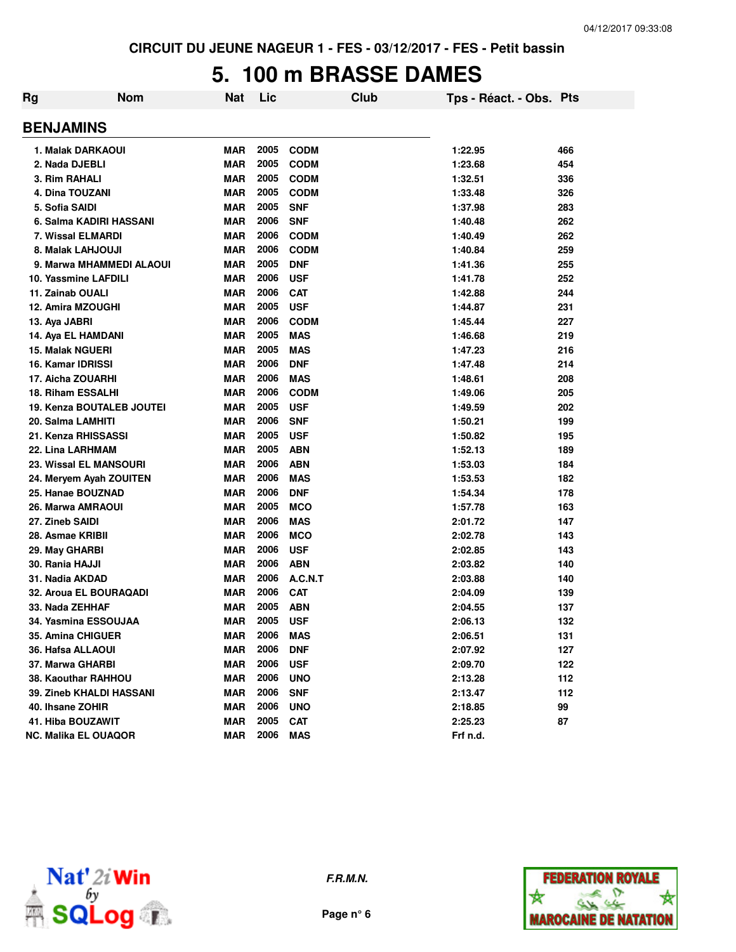# **5. 100 m BRASSE DAMES**

| Rg | <b>Nom</b>                       | <b>Nat</b> | Lic  |             | Club | Tps - Réact. - Obs. Pts |     |
|----|----------------------------------|------------|------|-------------|------|-------------------------|-----|
|    | <b>BENJAMINS</b>                 |            |      |             |      |                         |     |
|    | 1. Malak DARKAOUI                | <b>MAR</b> | 2005 | <b>CODM</b> |      | 1:22.95                 | 466 |
|    | 2. Nada DJEBLI                   | <b>MAR</b> | 2005 | <b>CODM</b> |      | 1:23.68                 | 454 |
|    | 3. Rim RAHALI                    | <b>MAR</b> | 2005 | <b>CODM</b> |      | 1:32.51                 | 336 |
|    | 4. Dina TOUZANI                  | <b>MAR</b> | 2005 | <b>CODM</b> |      | 1:33.48                 | 326 |
|    | 5. Sofia SAIDI                   | <b>MAR</b> | 2005 | <b>SNF</b>  |      | 1:37.98                 | 283 |
|    | 6. Salma KADIRI HASSANI          | <b>MAR</b> | 2006 | <b>SNF</b>  |      | 1:40.48                 | 262 |
|    | 7. Wissal ELMARDI                | <b>MAR</b> | 2006 | <b>CODM</b> |      | 1:40.49                 | 262 |
|    | 8. Malak LAHJOUJI                | <b>MAR</b> | 2006 | <b>CODM</b> |      | 1:40.84                 | 259 |
|    | 9. Marwa MHAMMEDI ALAOUI         | <b>MAR</b> | 2005 | <b>DNF</b>  |      | 1:41.36                 | 255 |
|    | 10. Yassmine LAFDILI             | <b>MAR</b> | 2006 | <b>USF</b>  |      | 1:41.78                 | 252 |
|    | 11. Zainab OUALI                 | MAR        | 2006 | <b>CAT</b>  |      | 1:42.88                 | 244 |
|    | 12. Amira MZOUGHI                | <b>MAR</b> | 2005 | <b>USF</b>  |      | 1:44.87                 | 231 |
|    | 13. Aya JABRI                    | <b>MAR</b> | 2006 | <b>CODM</b> |      | 1:45.44                 | 227 |
|    | 14. Aya EL HAMDANI               | <b>MAR</b> | 2005 | <b>MAS</b>  |      | 1:46.68                 | 219 |
|    | <b>15. Malak NGUERI</b>          | <b>MAR</b> | 2005 | <b>MAS</b>  |      | 1:47.23                 | 216 |
|    | 16. Kamar IDRISSI                | <b>MAR</b> | 2006 | <b>DNF</b>  |      | 1:47.48                 | 214 |
|    | 17. Aicha ZOUARHI                | <b>MAR</b> | 2006 | <b>MAS</b>  |      | 1:48.61                 | 208 |
|    | <b>18. Riham ESSALHI</b>         | <b>MAR</b> | 2006 | <b>CODM</b> |      | 1:49.06                 | 205 |
|    | <b>19. Kenza BOUTALEB JOUTEI</b> | MAR        | 2005 | <b>USF</b>  |      | 1:49.59                 | 202 |
|    | 20. Salma LAMHITI                | MAR        | 2006 | <b>SNF</b>  |      | 1:50.21                 | 199 |
|    | 21. Kenza RHISSASSI              | <b>MAR</b> | 2005 | <b>USF</b>  |      | 1:50.82                 | 195 |
|    | 22. Lina LARHMAM                 | <b>MAR</b> | 2005 | <b>ABN</b>  |      | 1:52.13                 | 189 |
|    | 23. Wissal EL MANSOURI           | <b>MAR</b> | 2006 | <b>ABN</b>  |      | 1:53.03                 | 184 |
|    | 24. Meryem Ayah ZOUITEN          | <b>MAR</b> | 2006 | <b>MAS</b>  |      | 1:53.53                 | 182 |
|    | 25. Hanae BOUZNAD                | <b>MAR</b> | 2006 | <b>DNF</b>  |      | 1:54.34                 | 178 |
|    | 26. Marwa AMRAOUI                | <b>MAR</b> | 2005 | <b>MCO</b>  |      | 1:57.78                 | 163 |
|    | 27. Zineb SAIDI                  | <b>MAR</b> | 2006 | <b>MAS</b>  |      | 2:01.72                 | 147 |
|    | 28. Asmae KRIBII                 | <b>MAR</b> | 2006 | <b>MCO</b>  |      | 2:02.78                 | 143 |
|    | 29. May GHARBI                   | <b>MAR</b> | 2006 | <b>USF</b>  |      | 2:02.85                 | 143 |
|    | 30. Rania HAJJI                  | <b>MAR</b> | 2006 | <b>ABN</b>  |      | 2:03.82                 | 140 |
|    | 31. Nadia AKDAD                  | <b>MAR</b> | 2006 | A.C.N.T     |      | 2:03.88                 | 140 |
|    | 32. Aroua EL BOURAQADI           | <b>MAR</b> | 2006 | <b>CAT</b>  |      | 2:04.09                 | 139 |
|    | 33. Nada ZEHHAF                  | <b>MAR</b> | 2005 | <b>ABN</b>  |      | 2:04.55                 | 137 |
|    | 34. Yasmina ESSOUJAA             | <b>MAR</b> | 2005 | <b>USF</b>  |      | 2:06.13                 | 132 |
|    | 35. Amina CHIGUER                | MAR        | 2006 | MAS         |      | 2:06.51                 | 131 |
|    | 36. Hafsa ALLAOUI                | MAR        | 2006 | <b>DNF</b>  |      | 2:07.92                 | 127 |
|    | 37. Marwa GHARBI                 | MAR        | 2006 | <b>USF</b>  |      | 2:09.70                 | 122 |
|    | 38. Kaouthar RAHHOU              | MAR        | 2006 | <b>UNO</b>  |      | 2:13.28                 | 112 |
|    | <b>39. Zineb KHALDI HASSANI</b>  | MAR        | 2006 | <b>SNF</b>  |      | 2:13.47                 | 112 |
|    | 40. Ihsane ZOHIR                 | MAR        | 2006 | <b>UNO</b>  |      | 2:18.85                 | 99  |
|    | 41. Hiba BOUZAWIT                | MAR        | 2005 | <b>CAT</b>  |      | 2:25.23                 | 87  |
|    | <b>NC. Malika EL OUAQOR</b>      | MAR        | 2006 | <b>MAS</b>  |      | Frf n.d.                |     |
|    |                                  |            |      |             |      |                         |     |



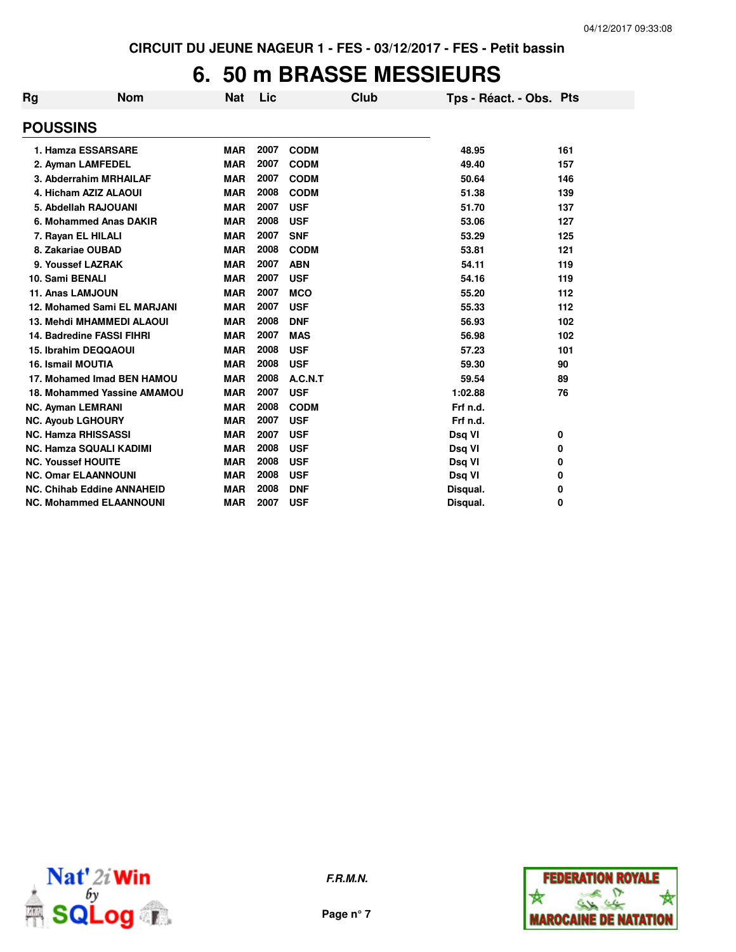## **6. 50 m BRASSE MESSIEURS**

| <b>Rg</b>                  | <b>Nom</b>                        | <b>Nat</b> | Lic  | Club        | Tps - Réact. - Obs. Pts |     |
|----------------------------|-----------------------------------|------------|------|-------------|-------------------------|-----|
| <b>POUSSINS</b>            |                                   |            |      |             |                         |     |
|                            | 1. Hamza ESSARSARE                | <b>MAR</b> | 2007 | <b>CODM</b> | 48.95                   | 161 |
|                            | 2. Ayman LAMFEDEL                 | <b>MAR</b> | 2007 | <b>CODM</b> | 49.40                   | 157 |
|                            | 3. Abderrahim MRHAILAF            | <b>MAR</b> | 2007 | <b>CODM</b> | 50.64                   | 146 |
|                            | 4. Hicham AZIZ ALAOUI             | <b>MAR</b> | 2008 | <b>CODM</b> | 51.38                   | 139 |
|                            | 5. Abdellah RAJOUANI              | <b>MAR</b> | 2007 | <b>USF</b>  | 51.70                   | 137 |
|                            | 6. Mohammed Anas DAKIR            | <b>MAR</b> | 2008 | <b>USF</b>  | 53.06                   | 127 |
| 7. Rayan EL HILALI         |                                   | <b>MAR</b> | 2007 | <b>SNF</b>  | 53.29                   | 125 |
| 8. Zakariae OUBAD          |                                   | <b>MAR</b> | 2008 | <b>CODM</b> | 53.81                   | 121 |
| 9. Youssef LAZRAK          |                                   | <b>MAR</b> | 2007 | <b>ABN</b>  | 54.11                   | 119 |
| 10. Sami BENALI            |                                   | <b>MAR</b> | 2007 | <b>USF</b>  | 54.16                   | 119 |
| 11. Anas LAMJOUN           |                                   | <b>MAR</b> | 2007 | <b>MCO</b>  | 55.20                   | 112 |
|                            | 12. Mohamed Sami EL MARJANI       | <b>MAR</b> | 2007 | <b>USF</b>  | 55.33                   | 112 |
|                            | <b>13. Mehdi MHAMMEDI ALAOUI</b>  | <b>MAR</b> | 2008 | <b>DNF</b>  | 56.93                   | 102 |
|                            | 14. Badredine FASSI FIHRI         | <b>MAR</b> | 2007 | <b>MAS</b>  | 56.98                   | 102 |
|                            | 15. Ibrahim DEQQAOUI              | <b>MAR</b> | 2008 | <b>USF</b>  | 57.23                   | 101 |
| <b>16. Ismail MOUTIA</b>   |                                   | <b>MAR</b> | 2008 | <b>USF</b>  | 59.30                   | 90  |
|                            | 17. Mohamed Imad BEN HAMOU        | <b>MAR</b> | 2008 | A.C.N.T     | 59.54                   | 89  |
|                            | 18. Mohammed Yassine AMAMOU       | <b>MAR</b> | 2007 | <b>USF</b>  | 1:02.88                 | 76  |
| <b>NC. Ayman LEMRANI</b>   |                                   | <b>MAR</b> | 2008 | <b>CODM</b> | Frf n.d.                |     |
| <b>NC. Ayoub LGHOURY</b>   |                                   | <b>MAR</b> | 2007 | <b>USF</b>  | Frf n.d.                |     |
| <b>NC. Hamza RHISSASSI</b> |                                   | <b>MAR</b> | 2007 | <b>USF</b>  | Dsq VI                  | 0   |
|                            | <b>NC. Hamza SQUALI KADIMI</b>    | <b>MAR</b> | 2008 | <b>USF</b>  | Dsq VI                  | 0   |
| <b>NC. Youssef HOUITE</b>  |                                   | <b>MAR</b> | 2008 | <b>USF</b>  | Dsq VI                  | 0   |
|                            | <b>NC. Omar ELAANNOUNI</b>        | <b>MAR</b> | 2008 | <b>USF</b>  | Dsq VI                  | 0   |
|                            | <b>NC. Chihab Eddine ANNAHEID</b> | <b>MAR</b> | 2008 | <b>DNF</b>  | Disqual.                | 0   |
|                            | <b>NC. Mohammed ELAANNOUNI</b>    | <b>MAR</b> | 2007 | <b>USF</b>  | Disqual.                | 0   |



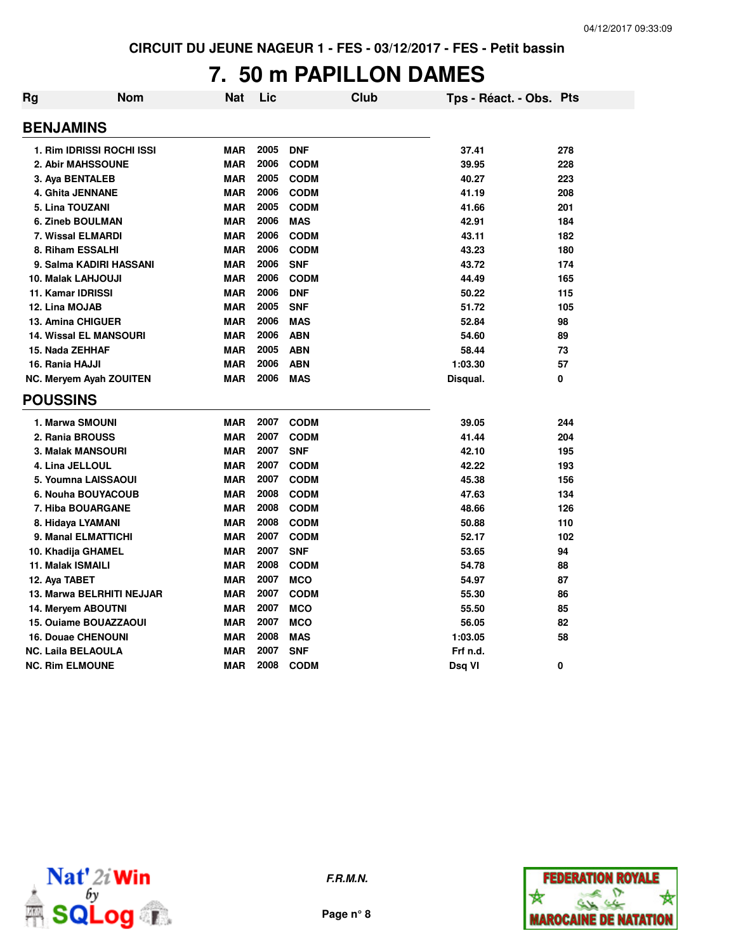#### **7. 50 m PAPILLON DAMES**

| Rg | <b>Nom</b>                     | Nat        | Lic  |             | Club | Tps - Réact. - Obs. Pts |     |
|----|--------------------------------|------------|------|-------------|------|-------------------------|-----|
|    | <b>BENJAMINS</b>               |            |      |             |      |                         |     |
|    | 1. Rim IDRISSI ROCHI ISSI      | <b>MAR</b> | 2005 | <b>DNF</b>  |      | 37.41                   | 278 |
|    | 2. Abir MAHSSOUNE              | <b>MAR</b> | 2006 | <b>CODM</b> |      | 39.95                   | 228 |
|    | 3. Aya BENTALEB                | <b>MAR</b> | 2005 | <b>CODM</b> |      | 40.27                   | 223 |
|    | 4. Ghita JENNANE               | <b>MAR</b> | 2006 | <b>CODM</b> |      | 41.19                   | 208 |
|    | 5. Lina TOUZANI                | <b>MAR</b> | 2005 | <b>CODM</b> |      | 41.66                   | 201 |
|    | 6. Zineb BOULMAN               | <b>MAR</b> | 2006 | <b>MAS</b>  |      | 42.91                   | 184 |
|    | <b>7. Wissal ELMARDI</b>       | <b>MAR</b> | 2006 | <b>CODM</b> |      | 43.11                   | 182 |
|    | 8. Riham ESSALHI               | <b>MAR</b> | 2006 | <b>CODM</b> |      | 43.23                   | 180 |
|    | 9. Salma KADIRI HASSANI        | <b>MAR</b> | 2006 | <b>SNF</b>  |      | 43.72                   | 174 |
|    | 10. Malak LAHJOUJI             | <b>MAR</b> | 2006 | <b>CODM</b> |      | 44.49                   | 165 |
|    | 11. Kamar IDRISSI              | <b>MAR</b> | 2006 | <b>DNF</b>  |      | 50.22                   | 115 |
|    | 12. Lina MOJAB                 | <b>MAR</b> | 2005 | <b>SNF</b>  |      | 51.72                   | 105 |
|    | <b>13. Amina CHIGUER</b>       | <b>MAR</b> | 2006 | <b>MAS</b>  |      | 52.84                   | 98  |
|    | <b>14. Wissal EL MANSOURI</b>  | <b>MAR</b> | 2006 | <b>ABN</b>  |      | 54.60                   | 89  |
|    | 15. Nada ZEHHAF                | <b>MAR</b> | 2005 | <b>ABN</b>  |      | 58.44                   | 73  |
|    | 16. Rania HAJJI                | <b>MAR</b> | 2006 | <b>ABN</b>  |      | 1:03.30                 | 57  |
|    | <b>NC. Meryem Ayah ZOUITEN</b> | <b>MAR</b> | 2006 | <b>MAS</b>  |      | Disqual.                | 0   |
|    | <b>POUSSINS</b>                |            |      |             |      |                         |     |
|    | 1. Marwa SMOUNI                | <b>MAR</b> | 2007 | <b>CODM</b> |      | 39.05                   | 244 |
|    | 2. Rania BROUSS                | <b>MAR</b> | 2007 | <b>CODM</b> |      | 41.44                   | 204 |
|    | 3. Malak MANSOURI              | <b>MAR</b> | 2007 | <b>SNF</b>  |      | 42.10                   | 195 |
|    | 4. Lina JELLOUL                | <b>MAR</b> | 2007 | <b>CODM</b> |      | 42.22                   | 193 |
|    | 5. Youmna LAISSAOUI            | <b>MAR</b> | 2007 | <b>CODM</b> |      | 45.38                   | 156 |
|    | 6. Nouha BOUYACOUB             | <b>MAR</b> | 2008 | <b>CODM</b> |      | 47.63                   | 134 |
|    | 7. Hiba BOUARGANE              | <b>MAR</b> | 2008 | <b>CODM</b> |      | 48.66                   | 126 |
|    | 8. Hidaya LYAMANI              | <b>MAR</b> | 2008 | <b>CODM</b> |      | 50.88                   | 110 |
|    | 9. Manal ELMATTICHI            | <b>MAR</b> | 2007 | <b>CODM</b> |      | 52.17                   | 102 |
|    | 10. Khadija GHAMEL             | <b>MAR</b> | 2007 | <b>SNF</b>  |      | 53.65                   | 94  |
|    | 11. Malak ISMAILI              | <b>MAR</b> | 2008 | <b>CODM</b> |      | 54.78                   | 88  |
|    | 12. Aya TABET                  | <b>MAR</b> | 2007 | <b>MCO</b>  |      | 54.97                   | 87  |
|    | 13. Marwa BELRHITI NEJJAR      | <b>MAR</b> | 2007 | <b>CODM</b> |      | 55.30                   | 86  |
|    | 14. Meryem ABOUTNI             | <b>MAR</b> | 2007 | <b>MCO</b>  |      | 55.50                   | 85  |
|    | 15. Ouiame BOUAZZAOUI          | <b>MAR</b> | 2007 | <b>MCO</b>  |      | 56.05                   | 82  |
|    | <b>16. Douae CHENOUNI</b>      | <b>MAR</b> | 2008 | <b>MAS</b>  |      | 1:03.05                 | 58  |
|    | <b>NC. Laila BELAOULA</b>      | <b>MAR</b> | 2007 | <b>SNF</b>  |      | Frf n.d.                |     |
|    | <b>NC. Rim ELMOUNE</b>         | <b>MAR</b> | 2008 | <b>CODM</b> |      | Dsq VI                  | 0   |





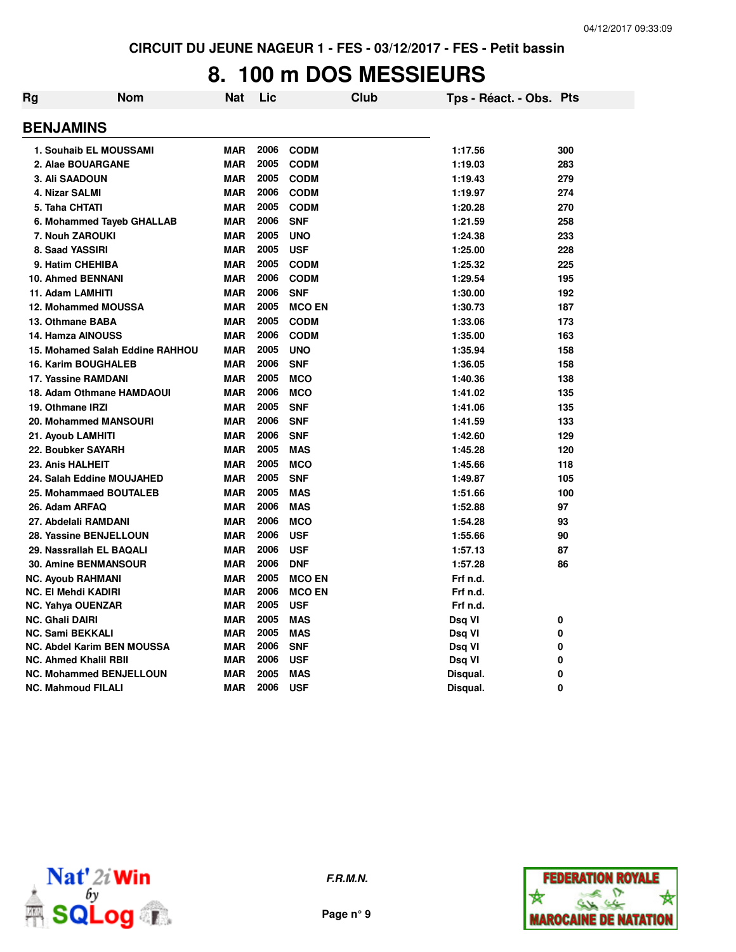#### **8. 100 m DOS MESSIEURS**

| <b>BENJAMINS</b><br><b>MAR</b><br>2006<br><b>CODM</b><br>1. Souhaib EL MOUSSAMI<br>1:17.56<br><b>MAR</b><br>2005<br>2. Alae BOUARGANE<br><b>CODM</b><br>1:19.03<br>2005<br>3. Ali SAADOUN<br><b>MAR</b><br><b>CODM</b><br>1:19.43<br><b>MAR</b><br>2006<br>4. Nizar SALMI<br><b>CODM</b><br>1:19.97<br>2005<br>5. Taha CHTATI<br><b>MAR</b><br><b>CODM</b><br>1:20.28<br><b>MAR</b><br>2006<br><b>SNF</b><br>1:21.59<br>6. Mohammed Tayeb GHALLAB<br>7. Nouh ZAROUKI<br><b>MAR</b><br>2005<br>1:24.38<br><b>UNO</b><br>2005<br>8. Saad YASSIRI<br><b>MAR</b><br><b>USF</b><br>1:25.00<br>2005<br><b>MAR</b><br>1:25.32<br>9. Hatim CHEHIBA<br><b>CODM</b><br><b>MAR</b><br>2006<br><b>CODM</b><br>1:29.54<br>10. Ahmed BENNANI<br>2006<br>11. Adam LAMHITI<br><b>MAR</b><br><b>SNF</b><br>1:30.00<br><b>MAR</b><br>2005<br><b>12. Mohammed MOUSSA</b><br><b>MCO EN</b><br>1:30.73<br>2005<br>13. Othmane BABA<br><b>MAR</b><br><b>CODM</b><br>1:33.06<br><b>MAR</b><br><b>14. Hamza AINOUSS</b><br>2006<br><b>CODM</b><br>1:35.00<br>2005<br>15. Mohamed Salah Eddine RAHHOU<br><b>MAR</b><br><b>UNO</b><br>1:35.94<br><b>16. Karim BOUGHALEB</b><br><b>MAR</b><br>2006<br><b>SNF</b><br>1:36.05<br><b>MAR</b><br>2005<br>17. Yassine RAMDANI<br><b>MCO</b><br>1:40.36<br>2006<br><b>MAR</b><br><b>MCO</b><br>18. Adam Othmane HAMDAOUI<br>1:41.02<br><b>MAR</b><br>2005<br>19. Othmane IRZI<br><b>SNF</b><br>1:41.06<br><b>MAR</b><br>2006<br><b>20. Mohammed MANSOURI</b><br><b>SNF</b><br>1:41.59<br>2006<br><b>MAR</b><br><b>SNF</b><br>1:42.60<br>21. Ayoub LAMHITI<br><b>MAR</b><br>2005<br>22. Boubker SAYARH<br><b>MAS</b><br>1:45.28<br><b>MAR</b><br>2005<br>23. Anis HALHEIT<br><b>MCO</b><br>1:45.66<br>2005<br><b>MAR</b><br><b>SNF</b><br>24. Salah Eddine MOUJAHED<br>1:49.87<br>2005<br>25. Mohammaed BOUTALEB<br><b>MAR</b><br><b>MAS</b><br>1:51.66<br>26. Adam ARFAQ<br><b>MAR</b><br>2006<br><b>MAS</b><br>1:52.88<br>2006<br><b>MAR</b><br><b>MCO</b><br>1:54.28<br>27. Abdelali RAMDANI<br><b>MAR</b><br>2006<br>28. Yassine BENJELLOUN<br><b>USF</b><br>1:55.66<br><b>MAR</b><br>2006<br>29. Nassrallah EL BAQALI<br><b>USF</b><br>1:57.13<br><b>MAR</b><br>2006<br><b>30. Amine BENMANSOUR</b><br><b>DNF</b><br>1:57.28<br><b>MAR</b><br>2005<br><b>MCO EN</b><br>Frf n.d.<br><b>NC. Ayoub RAHMANI</b><br>2006<br><b>MAR</b><br>Frf n.d.<br>NC. El Mehdi KADIRI<br><b>MCO EN</b><br>2005<br><b>MAR</b><br><b>USF</b><br>Frf n.d.<br><b>NC. Yahya OUENZAR</b><br>2005<br><b>MAR</b><br><b>MAS</b><br><b>NC. Ghali DAIRI</b><br>Dsq VI<br><b>MAR</b><br>2005<br><b>MAS</b><br><b>NC. Sami BEKKALI</b><br>Dsq VI<br>2006<br><b>NC. Abdel Karim BEN MOUSSA</b><br><b>MAR</b><br><b>SNF</b><br>Dsq VI<br>2006<br><b>NC. Ahmed Khalil RBII</b><br><b>MAR</b><br><b>USF</b><br>Dsq VI<br>2005<br><b>NC. Mohammed BENJELLOUN</b><br><b>MAR</b><br><b>MAS</b><br>Disqual.<br><b>MAR</b><br>2006<br><b>USF</b><br><b>NC. Mahmoud FILALI</b><br>Disqual. | Rg | <b>Nom</b> | Nat | Lic | Club | Tps - Réact. - Obs. Pts |     |
|-----------------------------------------------------------------------------------------------------------------------------------------------------------------------------------------------------------------------------------------------------------------------------------------------------------------------------------------------------------------------------------------------------------------------------------------------------------------------------------------------------------------------------------------------------------------------------------------------------------------------------------------------------------------------------------------------------------------------------------------------------------------------------------------------------------------------------------------------------------------------------------------------------------------------------------------------------------------------------------------------------------------------------------------------------------------------------------------------------------------------------------------------------------------------------------------------------------------------------------------------------------------------------------------------------------------------------------------------------------------------------------------------------------------------------------------------------------------------------------------------------------------------------------------------------------------------------------------------------------------------------------------------------------------------------------------------------------------------------------------------------------------------------------------------------------------------------------------------------------------------------------------------------------------------------------------------------------------------------------------------------------------------------------------------------------------------------------------------------------------------------------------------------------------------------------------------------------------------------------------------------------------------------------------------------------------------------------------------------------------------------------------------------------------------------------------------------------------------------------------------------------------------------------------------------------------------------------------------------------------------------------------------------------------------------------------------------------------------------------------------------------------------------------------------------------------------------------------------------------------------------------------------------------------------------------------------------------------------|----|------------|-----|-----|------|-------------------------|-----|
|                                                                                                                                                                                                                                                                                                                                                                                                                                                                                                                                                                                                                                                                                                                                                                                                                                                                                                                                                                                                                                                                                                                                                                                                                                                                                                                                                                                                                                                                                                                                                                                                                                                                                                                                                                                                                                                                                                                                                                                                                                                                                                                                                                                                                                                                                                                                                                                                                                                                                                                                                                                                                                                                                                                                                                                                                                                                                                                                                                       |    |            |     |     |      |                         |     |
|                                                                                                                                                                                                                                                                                                                                                                                                                                                                                                                                                                                                                                                                                                                                                                                                                                                                                                                                                                                                                                                                                                                                                                                                                                                                                                                                                                                                                                                                                                                                                                                                                                                                                                                                                                                                                                                                                                                                                                                                                                                                                                                                                                                                                                                                                                                                                                                                                                                                                                                                                                                                                                                                                                                                                                                                                                                                                                                                                                       |    |            |     |     |      |                         | 300 |
|                                                                                                                                                                                                                                                                                                                                                                                                                                                                                                                                                                                                                                                                                                                                                                                                                                                                                                                                                                                                                                                                                                                                                                                                                                                                                                                                                                                                                                                                                                                                                                                                                                                                                                                                                                                                                                                                                                                                                                                                                                                                                                                                                                                                                                                                                                                                                                                                                                                                                                                                                                                                                                                                                                                                                                                                                                                                                                                                                                       |    |            |     |     |      |                         | 283 |
|                                                                                                                                                                                                                                                                                                                                                                                                                                                                                                                                                                                                                                                                                                                                                                                                                                                                                                                                                                                                                                                                                                                                                                                                                                                                                                                                                                                                                                                                                                                                                                                                                                                                                                                                                                                                                                                                                                                                                                                                                                                                                                                                                                                                                                                                                                                                                                                                                                                                                                                                                                                                                                                                                                                                                                                                                                                                                                                                                                       |    |            |     |     |      |                         | 279 |
|                                                                                                                                                                                                                                                                                                                                                                                                                                                                                                                                                                                                                                                                                                                                                                                                                                                                                                                                                                                                                                                                                                                                                                                                                                                                                                                                                                                                                                                                                                                                                                                                                                                                                                                                                                                                                                                                                                                                                                                                                                                                                                                                                                                                                                                                                                                                                                                                                                                                                                                                                                                                                                                                                                                                                                                                                                                                                                                                                                       |    |            |     |     |      |                         | 274 |
|                                                                                                                                                                                                                                                                                                                                                                                                                                                                                                                                                                                                                                                                                                                                                                                                                                                                                                                                                                                                                                                                                                                                                                                                                                                                                                                                                                                                                                                                                                                                                                                                                                                                                                                                                                                                                                                                                                                                                                                                                                                                                                                                                                                                                                                                                                                                                                                                                                                                                                                                                                                                                                                                                                                                                                                                                                                                                                                                                                       |    |            |     |     |      |                         | 270 |
|                                                                                                                                                                                                                                                                                                                                                                                                                                                                                                                                                                                                                                                                                                                                                                                                                                                                                                                                                                                                                                                                                                                                                                                                                                                                                                                                                                                                                                                                                                                                                                                                                                                                                                                                                                                                                                                                                                                                                                                                                                                                                                                                                                                                                                                                                                                                                                                                                                                                                                                                                                                                                                                                                                                                                                                                                                                                                                                                                                       |    |            |     |     |      |                         | 258 |
|                                                                                                                                                                                                                                                                                                                                                                                                                                                                                                                                                                                                                                                                                                                                                                                                                                                                                                                                                                                                                                                                                                                                                                                                                                                                                                                                                                                                                                                                                                                                                                                                                                                                                                                                                                                                                                                                                                                                                                                                                                                                                                                                                                                                                                                                                                                                                                                                                                                                                                                                                                                                                                                                                                                                                                                                                                                                                                                                                                       |    |            |     |     |      |                         | 233 |
|                                                                                                                                                                                                                                                                                                                                                                                                                                                                                                                                                                                                                                                                                                                                                                                                                                                                                                                                                                                                                                                                                                                                                                                                                                                                                                                                                                                                                                                                                                                                                                                                                                                                                                                                                                                                                                                                                                                                                                                                                                                                                                                                                                                                                                                                                                                                                                                                                                                                                                                                                                                                                                                                                                                                                                                                                                                                                                                                                                       |    |            |     |     |      |                         | 228 |
|                                                                                                                                                                                                                                                                                                                                                                                                                                                                                                                                                                                                                                                                                                                                                                                                                                                                                                                                                                                                                                                                                                                                                                                                                                                                                                                                                                                                                                                                                                                                                                                                                                                                                                                                                                                                                                                                                                                                                                                                                                                                                                                                                                                                                                                                                                                                                                                                                                                                                                                                                                                                                                                                                                                                                                                                                                                                                                                                                                       |    |            |     |     |      |                         | 225 |
|                                                                                                                                                                                                                                                                                                                                                                                                                                                                                                                                                                                                                                                                                                                                                                                                                                                                                                                                                                                                                                                                                                                                                                                                                                                                                                                                                                                                                                                                                                                                                                                                                                                                                                                                                                                                                                                                                                                                                                                                                                                                                                                                                                                                                                                                                                                                                                                                                                                                                                                                                                                                                                                                                                                                                                                                                                                                                                                                                                       |    |            |     |     |      |                         | 195 |
|                                                                                                                                                                                                                                                                                                                                                                                                                                                                                                                                                                                                                                                                                                                                                                                                                                                                                                                                                                                                                                                                                                                                                                                                                                                                                                                                                                                                                                                                                                                                                                                                                                                                                                                                                                                                                                                                                                                                                                                                                                                                                                                                                                                                                                                                                                                                                                                                                                                                                                                                                                                                                                                                                                                                                                                                                                                                                                                                                                       |    |            |     |     |      |                         | 192 |
|                                                                                                                                                                                                                                                                                                                                                                                                                                                                                                                                                                                                                                                                                                                                                                                                                                                                                                                                                                                                                                                                                                                                                                                                                                                                                                                                                                                                                                                                                                                                                                                                                                                                                                                                                                                                                                                                                                                                                                                                                                                                                                                                                                                                                                                                                                                                                                                                                                                                                                                                                                                                                                                                                                                                                                                                                                                                                                                                                                       |    |            |     |     |      |                         | 187 |
|                                                                                                                                                                                                                                                                                                                                                                                                                                                                                                                                                                                                                                                                                                                                                                                                                                                                                                                                                                                                                                                                                                                                                                                                                                                                                                                                                                                                                                                                                                                                                                                                                                                                                                                                                                                                                                                                                                                                                                                                                                                                                                                                                                                                                                                                                                                                                                                                                                                                                                                                                                                                                                                                                                                                                                                                                                                                                                                                                                       |    |            |     |     |      |                         | 173 |
|                                                                                                                                                                                                                                                                                                                                                                                                                                                                                                                                                                                                                                                                                                                                                                                                                                                                                                                                                                                                                                                                                                                                                                                                                                                                                                                                                                                                                                                                                                                                                                                                                                                                                                                                                                                                                                                                                                                                                                                                                                                                                                                                                                                                                                                                                                                                                                                                                                                                                                                                                                                                                                                                                                                                                                                                                                                                                                                                                                       |    |            |     |     |      |                         | 163 |
|                                                                                                                                                                                                                                                                                                                                                                                                                                                                                                                                                                                                                                                                                                                                                                                                                                                                                                                                                                                                                                                                                                                                                                                                                                                                                                                                                                                                                                                                                                                                                                                                                                                                                                                                                                                                                                                                                                                                                                                                                                                                                                                                                                                                                                                                                                                                                                                                                                                                                                                                                                                                                                                                                                                                                                                                                                                                                                                                                                       |    |            |     |     |      |                         | 158 |
|                                                                                                                                                                                                                                                                                                                                                                                                                                                                                                                                                                                                                                                                                                                                                                                                                                                                                                                                                                                                                                                                                                                                                                                                                                                                                                                                                                                                                                                                                                                                                                                                                                                                                                                                                                                                                                                                                                                                                                                                                                                                                                                                                                                                                                                                                                                                                                                                                                                                                                                                                                                                                                                                                                                                                                                                                                                                                                                                                                       |    |            |     |     |      |                         | 158 |
|                                                                                                                                                                                                                                                                                                                                                                                                                                                                                                                                                                                                                                                                                                                                                                                                                                                                                                                                                                                                                                                                                                                                                                                                                                                                                                                                                                                                                                                                                                                                                                                                                                                                                                                                                                                                                                                                                                                                                                                                                                                                                                                                                                                                                                                                                                                                                                                                                                                                                                                                                                                                                                                                                                                                                                                                                                                                                                                                                                       |    |            |     |     |      |                         | 138 |
|                                                                                                                                                                                                                                                                                                                                                                                                                                                                                                                                                                                                                                                                                                                                                                                                                                                                                                                                                                                                                                                                                                                                                                                                                                                                                                                                                                                                                                                                                                                                                                                                                                                                                                                                                                                                                                                                                                                                                                                                                                                                                                                                                                                                                                                                                                                                                                                                                                                                                                                                                                                                                                                                                                                                                                                                                                                                                                                                                                       |    |            |     |     |      |                         | 135 |
|                                                                                                                                                                                                                                                                                                                                                                                                                                                                                                                                                                                                                                                                                                                                                                                                                                                                                                                                                                                                                                                                                                                                                                                                                                                                                                                                                                                                                                                                                                                                                                                                                                                                                                                                                                                                                                                                                                                                                                                                                                                                                                                                                                                                                                                                                                                                                                                                                                                                                                                                                                                                                                                                                                                                                                                                                                                                                                                                                                       |    |            |     |     |      |                         | 135 |
|                                                                                                                                                                                                                                                                                                                                                                                                                                                                                                                                                                                                                                                                                                                                                                                                                                                                                                                                                                                                                                                                                                                                                                                                                                                                                                                                                                                                                                                                                                                                                                                                                                                                                                                                                                                                                                                                                                                                                                                                                                                                                                                                                                                                                                                                                                                                                                                                                                                                                                                                                                                                                                                                                                                                                                                                                                                                                                                                                                       |    |            |     |     |      |                         | 133 |
|                                                                                                                                                                                                                                                                                                                                                                                                                                                                                                                                                                                                                                                                                                                                                                                                                                                                                                                                                                                                                                                                                                                                                                                                                                                                                                                                                                                                                                                                                                                                                                                                                                                                                                                                                                                                                                                                                                                                                                                                                                                                                                                                                                                                                                                                                                                                                                                                                                                                                                                                                                                                                                                                                                                                                                                                                                                                                                                                                                       |    |            |     |     |      |                         | 129 |
|                                                                                                                                                                                                                                                                                                                                                                                                                                                                                                                                                                                                                                                                                                                                                                                                                                                                                                                                                                                                                                                                                                                                                                                                                                                                                                                                                                                                                                                                                                                                                                                                                                                                                                                                                                                                                                                                                                                                                                                                                                                                                                                                                                                                                                                                                                                                                                                                                                                                                                                                                                                                                                                                                                                                                                                                                                                                                                                                                                       |    |            |     |     |      |                         | 120 |
|                                                                                                                                                                                                                                                                                                                                                                                                                                                                                                                                                                                                                                                                                                                                                                                                                                                                                                                                                                                                                                                                                                                                                                                                                                                                                                                                                                                                                                                                                                                                                                                                                                                                                                                                                                                                                                                                                                                                                                                                                                                                                                                                                                                                                                                                                                                                                                                                                                                                                                                                                                                                                                                                                                                                                                                                                                                                                                                                                                       |    |            |     |     |      |                         | 118 |
|                                                                                                                                                                                                                                                                                                                                                                                                                                                                                                                                                                                                                                                                                                                                                                                                                                                                                                                                                                                                                                                                                                                                                                                                                                                                                                                                                                                                                                                                                                                                                                                                                                                                                                                                                                                                                                                                                                                                                                                                                                                                                                                                                                                                                                                                                                                                                                                                                                                                                                                                                                                                                                                                                                                                                                                                                                                                                                                                                                       |    |            |     |     |      |                         | 105 |
|                                                                                                                                                                                                                                                                                                                                                                                                                                                                                                                                                                                                                                                                                                                                                                                                                                                                                                                                                                                                                                                                                                                                                                                                                                                                                                                                                                                                                                                                                                                                                                                                                                                                                                                                                                                                                                                                                                                                                                                                                                                                                                                                                                                                                                                                                                                                                                                                                                                                                                                                                                                                                                                                                                                                                                                                                                                                                                                                                                       |    |            |     |     |      |                         | 100 |
|                                                                                                                                                                                                                                                                                                                                                                                                                                                                                                                                                                                                                                                                                                                                                                                                                                                                                                                                                                                                                                                                                                                                                                                                                                                                                                                                                                                                                                                                                                                                                                                                                                                                                                                                                                                                                                                                                                                                                                                                                                                                                                                                                                                                                                                                                                                                                                                                                                                                                                                                                                                                                                                                                                                                                                                                                                                                                                                                                                       |    |            |     |     |      |                         | 97  |
|                                                                                                                                                                                                                                                                                                                                                                                                                                                                                                                                                                                                                                                                                                                                                                                                                                                                                                                                                                                                                                                                                                                                                                                                                                                                                                                                                                                                                                                                                                                                                                                                                                                                                                                                                                                                                                                                                                                                                                                                                                                                                                                                                                                                                                                                                                                                                                                                                                                                                                                                                                                                                                                                                                                                                                                                                                                                                                                                                                       |    |            |     |     |      |                         | 93  |
|                                                                                                                                                                                                                                                                                                                                                                                                                                                                                                                                                                                                                                                                                                                                                                                                                                                                                                                                                                                                                                                                                                                                                                                                                                                                                                                                                                                                                                                                                                                                                                                                                                                                                                                                                                                                                                                                                                                                                                                                                                                                                                                                                                                                                                                                                                                                                                                                                                                                                                                                                                                                                                                                                                                                                                                                                                                                                                                                                                       |    |            |     |     |      |                         | 90  |
|                                                                                                                                                                                                                                                                                                                                                                                                                                                                                                                                                                                                                                                                                                                                                                                                                                                                                                                                                                                                                                                                                                                                                                                                                                                                                                                                                                                                                                                                                                                                                                                                                                                                                                                                                                                                                                                                                                                                                                                                                                                                                                                                                                                                                                                                                                                                                                                                                                                                                                                                                                                                                                                                                                                                                                                                                                                                                                                                                                       |    |            |     |     |      |                         | 87  |
|                                                                                                                                                                                                                                                                                                                                                                                                                                                                                                                                                                                                                                                                                                                                                                                                                                                                                                                                                                                                                                                                                                                                                                                                                                                                                                                                                                                                                                                                                                                                                                                                                                                                                                                                                                                                                                                                                                                                                                                                                                                                                                                                                                                                                                                                                                                                                                                                                                                                                                                                                                                                                                                                                                                                                                                                                                                                                                                                                                       |    |            |     |     |      |                         | 86  |
|                                                                                                                                                                                                                                                                                                                                                                                                                                                                                                                                                                                                                                                                                                                                                                                                                                                                                                                                                                                                                                                                                                                                                                                                                                                                                                                                                                                                                                                                                                                                                                                                                                                                                                                                                                                                                                                                                                                                                                                                                                                                                                                                                                                                                                                                                                                                                                                                                                                                                                                                                                                                                                                                                                                                                                                                                                                                                                                                                                       |    |            |     |     |      |                         |     |
|                                                                                                                                                                                                                                                                                                                                                                                                                                                                                                                                                                                                                                                                                                                                                                                                                                                                                                                                                                                                                                                                                                                                                                                                                                                                                                                                                                                                                                                                                                                                                                                                                                                                                                                                                                                                                                                                                                                                                                                                                                                                                                                                                                                                                                                                                                                                                                                                                                                                                                                                                                                                                                                                                                                                                                                                                                                                                                                                                                       |    |            |     |     |      |                         |     |
|                                                                                                                                                                                                                                                                                                                                                                                                                                                                                                                                                                                                                                                                                                                                                                                                                                                                                                                                                                                                                                                                                                                                                                                                                                                                                                                                                                                                                                                                                                                                                                                                                                                                                                                                                                                                                                                                                                                                                                                                                                                                                                                                                                                                                                                                                                                                                                                                                                                                                                                                                                                                                                                                                                                                                                                                                                                                                                                                                                       |    |            |     |     |      |                         |     |
|                                                                                                                                                                                                                                                                                                                                                                                                                                                                                                                                                                                                                                                                                                                                                                                                                                                                                                                                                                                                                                                                                                                                                                                                                                                                                                                                                                                                                                                                                                                                                                                                                                                                                                                                                                                                                                                                                                                                                                                                                                                                                                                                                                                                                                                                                                                                                                                                                                                                                                                                                                                                                                                                                                                                                                                                                                                                                                                                                                       |    |            |     |     |      |                         | 0   |
|                                                                                                                                                                                                                                                                                                                                                                                                                                                                                                                                                                                                                                                                                                                                                                                                                                                                                                                                                                                                                                                                                                                                                                                                                                                                                                                                                                                                                                                                                                                                                                                                                                                                                                                                                                                                                                                                                                                                                                                                                                                                                                                                                                                                                                                                                                                                                                                                                                                                                                                                                                                                                                                                                                                                                                                                                                                                                                                                                                       |    |            |     |     |      |                         | 0   |
|                                                                                                                                                                                                                                                                                                                                                                                                                                                                                                                                                                                                                                                                                                                                                                                                                                                                                                                                                                                                                                                                                                                                                                                                                                                                                                                                                                                                                                                                                                                                                                                                                                                                                                                                                                                                                                                                                                                                                                                                                                                                                                                                                                                                                                                                                                                                                                                                                                                                                                                                                                                                                                                                                                                                                                                                                                                                                                                                                                       |    |            |     |     |      |                         | 0   |
|                                                                                                                                                                                                                                                                                                                                                                                                                                                                                                                                                                                                                                                                                                                                                                                                                                                                                                                                                                                                                                                                                                                                                                                                                                                                                                                                                                                                                                                                                                                                                                                                                                                                                                                                                                                                                                                                                                                                                                                                                                                                                                                                                                                                                                                                                                                                                                                                                                                                                                                                                                                                                                                                                                                                                                                                                                                                                                                                                                       |    |            |     |     |      |                         | 0   |
|                                                                                                                                                                                                                                                                                                                                                                                                                                                                                                                                                                                                                                                                                                                                                                                                                                                                                                                                                                                                                                                                                                                                                                                                                                                                                                                                                                                                                                                                                                                                                                                                                                                                                                                                                                                                                                                                                                                                                                                                                                                                                                                                                                                                                                                                                                                                                                                                                                                                                                                                                                                                                                                                                                                                                                                                                                                                                                                                                                       |    |            |     |     |      |                         | 0   |
|                                                                                                                                                                                                                                                                                                                                                                                                                                                                                                                                                                                                                                                                                                                                                                                                                                                                                                                                                                                                                                                                                                                                                                                                                                                                                                                                                                                                                                                                                                                                                                                                                                                                                                                                                                                                                                                                                                                                                                                                                                                                                                                                                                                                                                                                                                                                                                                                                                                                                                                                                                                                                                                                                                                                                                                                                                                                                                                                                                       |    |            |     |     |      |                         | 0   |



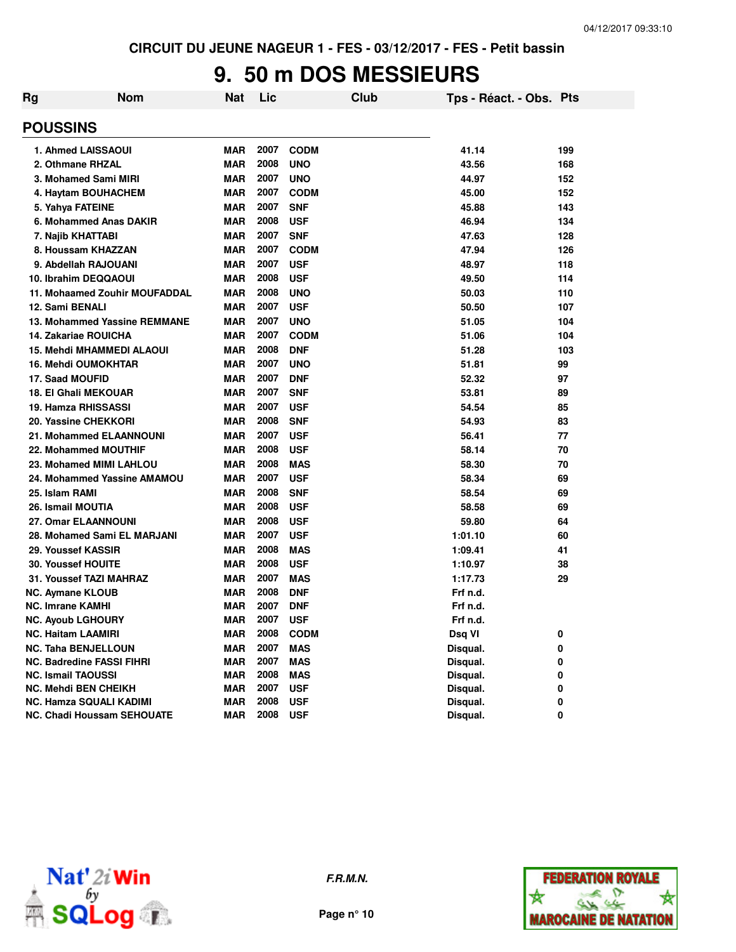### **9. 50 m DOS MESSIEURS**

| .<br>$\sim$ $\sim$ $\sim$ |     |     | $\cdots$ $\cdots$ $\cdots$ $\cdots$ $\cdots$ |      | ----                    | $\sim$ $\sim$ $\sim$ |
|---------------------------|-----|-----|----------------------------------------------|------|-------------------------|----------------------|
| <b>POUSSINS</b>           |     |     |                                              |      |                         |                      |
| Rg                        | Nom | Nat | Lic                                          | Club | Tps - Réact. - Obs. Pts |                      |
|                           |     |     |                                              |      |                         |                      |

| uuunu                            |            |      |             |          |     |
|----------------------------------|------------|------|-------------|----------|-----|
| 1. Ahmed LAISSAOUI               | <b>MAR</b> | 2007 | <b>CODM</b> | 41.14    | 199 |
| 2. Othmane RHZAL                 | <b>MAR</b> | 2008 | <b>UNO</b>  | 43.56    | 168 |
| 3. Mohamed Sami MIRI             | <b>MAR</b> | 2007 | <b>UNO</b>  | 44.97    | 152 |
| 4. Haytam BOUHACHEM              | <b>MAR</b> | 2007 | <b>CODM</b> | 45.00    | 152 |
| 5. Yahya FATEINE                 | <b>MAR</b> | 2007 | <b>SNF</b>  | 45.88    | 143 |
| 6. Mohammed Anas DAKIR           | <b>MAR</b> | 2008 | <b>USF</b>  | 46.94    | 134 |
| 7. Najib KHATTABI                | <b>MAR</b> | 2007 | <b>SNF</b>  | 47.63    | 128 |
| 8. Houssam KHAZZAN               | <b>MAR</b> | 2007 | <b>CODM</b> | 47.94    | 126 |
| 9. Abdellah RAJOUANI             | <b>MAR</b> | 2007 | <b>USF</b>  | 48.97    | 118 |
| 10. Ibrahim DEQQAOUI             | <b>MAR</b> | 2008 | <b>USF</b>  | 49.50    | 114 |
| 11. Mohaamed Zouhir MOUFADDAL    | <b>MAR</b> | 2008 | <b>UNO</b>  | 50.03    | 110 |
| 12. Sami BENALI                  | <b>MAR</b> | 2007 | <b>USF</b>  | 50.50    | 107 |
| 13. Mohammed Yassine REMMANE     | <b>MAR</b> | 2007 | <b>UNO</b>  | 51.05    | 104 |
| 14. Zakariae ROUICHA             | <b>MAR</b> | 2007 | <b>CODM</b> | 51.06    | 104 |
| <b>15. Mehdi MHAMMEDI ALAOUI</b> | <b>MAR</b> | 2008 | <b>DNF</b>  | 51.28    | 103 |
| 16. Mehdi OUMOKHTAR              | <b>MAR</b> | 2007 | <b>UNO</b>  | 51.81    | 99  |
| 17. Saad MOUFID                  | <b>MAR</b> | 2007 | <b>DNF</b>  | 52.32    | 97  |
| 18. El Ghali MEKOUAR             | <b>MAR</b> | 2007 | <b>SNF</b>  | 53.81    | 89  |
| 19. Hamza RHISSASSI              | <b>MAR</b> | 2007 | <b>USF</b>  | 54.54    | 85  |
| 20. Yassine CHEKKORI             | <b>MAR</b> | 2008 | <b>SNF</b>  | 54.93    | 83  |
| <b>21. Mohammed ELAANNOUNI</b>   | <b>MAR</b> | 2007 | <b>USF</b>  | 56.41    | 77  |
| 22. Mohammed MOUTHIF             | <b>MAR</b> | 2008 | <b>USF</b>  | 58.14    | 70  |
| 23. Mohamed MIMI LAHLOU          | <b>MAR</b> | 2008 | <b>MAS</b>  | 58.30    | 70  |
| 24. Mohammed Yassine AMAMOU      | <b>MAR</b> | 2007 | <b>USF</b>  | 58.34    | 69  |
| 25. Islam RAMI                   | <b>MAR</b> | 2008 | <b>SNF</b>  | 58.54    | 69  |
| 26. Ismail MOUTIA                | <b>MAR</b> | 2008 | <b>USF</b>  | 58.58    | 69  |
| <b>27. Omar ELAANNOUNI</b>       | <b>MAR</b> | 2008 | <b>USF</b>  | 59.80    | 64  |
| 28. Mohamed Sami EL MARJANI      | <b>MAR</b> | 2007 | <b>USF</b>  | 1:01.10  | 60  |
| 29. Youssef KASSIR               | <b>MAR</b> | 2008 | <b>MAS</b>  | 1:09.41  | 41  |
| <b>30. Youssef HOUITE</b>        | <b>MAR</b> | 2008 | <b>USF</b>  | 1:10.97  | 38  |
| 31. Youssef TAZI MAHRAZ          | <b>MAR</b> | 2007 | <b>MAS</b>  | 1:17.73  | 29  |
| <b>NC. Aymane KLOUB</b>          | <b>MAR</b> | 2008 | <b>DNF</b>  | Frf n.d. |     |
| <b>NC. Imrane KAMHI</b>          | <b>MAR</b> | 2007 | <b>DNF</b>  | Frf n.d. |     |
| <b>NC. Ayoub LGHOURY</b>         | <b>MAR</b> | 2007 | <b>USF</b>  | Frf n.d. |     |
| NC. Haitam LAAMIRI               | <b>MAR</b> | 2008 | <b>CODM</b> | Dsq VI   | 0   |
| NC. Taha BENJELLOUN              | <b>MAR</b> | 2007 | <b>MAS</b>  | Disqual. | 0   |
| NC. Badredine FASSI FIHRI        | <b>MAR</b> | 2007 | <b>MAS</b>  | Disqual. | 0   |
| <b>NC. Ismail TAOUSSI</b>        | <b>MAR</b> | 2008 | <b>MAS</b>  | Disqual. | 0   |
| NC. Mehdi BEN CHEIKH             | <b>MAR</b> | 2007 | <b>USF</b>  | Disqual. | 0   |
| NC. Hamza SQUALI KADIMI          | <b>MAR</b> | 2008 | <b>USF</b>  | Disqual. | 0   |
| NC. Chadi Houssam SEHOUATE       | <b>MAR</b> | 2008 | <b>USF</b>  | Disqual. | 0   |



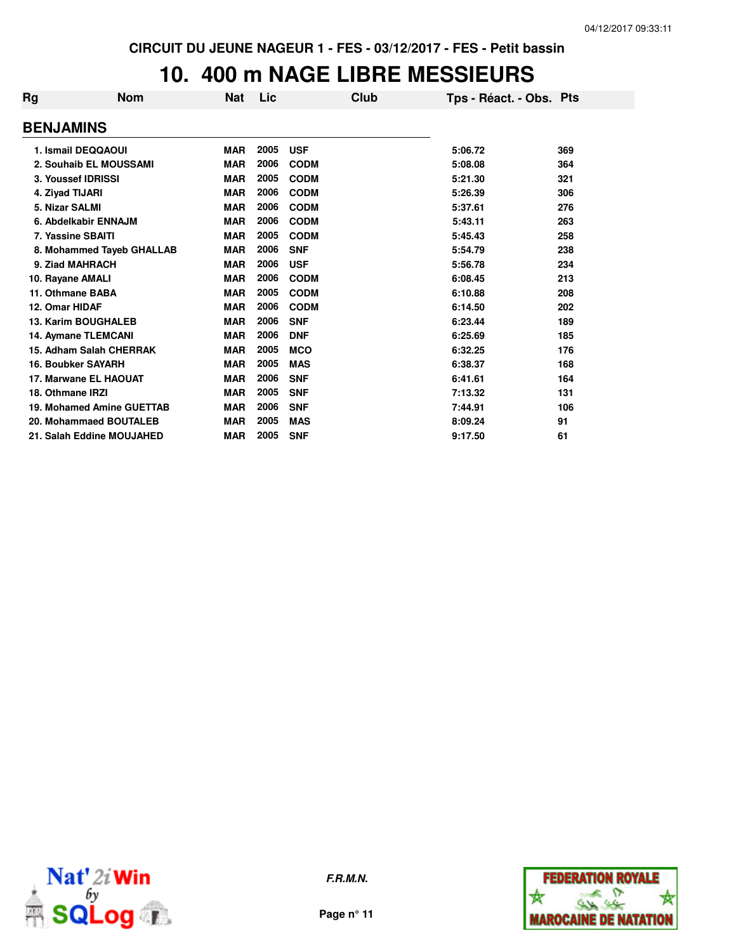## **10. 400 m NAGE LIBRE MESSIEURS**

| <b>Rg</b>        | <b>Nom</b>                 | <b>Nat</b> | Lic  | Club        | Tps - Réact. - Obs. Pts |     |
|------------------|----------------------------|------------|------|-------------|-------------------------|-----|
| <b>BENJAMINS</b> |                            |            |      |             |                         |     |
|                  | 1. Ismail DEQQAOUI         | <b>MAR</b> | 2005 | <b>USF</b>  | 5:06.72                 | 369 |
|                  | 2. Souhaib EL MOUSSAMI     | <b>MAR</b> | 2006 | <b>CODM</b> | 5:08.08                 | 364 |
|                  | 3. Youssef IDRISSI         | <b>MAR</b> | 2005 | <b>CODM</b> | 5:21.30                 | 321 |
| 4. Ziyad TIJARI  |                            | <b>MAR</b> | 2006 | <b>CODM</b> | 5:26.39                 | 306 |
| 5. Nizar SALMI   |                            | <b>MAR</b> | 2006 | <b>CODM</b> | 5:37.61                 | 276 |
|                  | 6. Abdelkabir ENNAJM       | <b>MAR</b> | 2006 | <b>CODM</b> | 5:43.11                 | 263 |
|                  | 7. Yassine SBAITI          | <b>MAR</b> | 2005 | <b>CODM</b> | 5:45.43                 | 258 |
|                  | 8. Mohammed Tayeb GHALLAB  | <b>MAR</b> | 2006 | <b>SNF</b>  | 5:54.79                 | 238 |
|                  | 9. Ziad MAHRACH            | <b>MAR</b> | 2006 | <b>USF</b>  | 5:56.78                 | 234 |
| 10. Rayane AMALI |                            | <b>MAR</b> | 2006 | <b>CODM</b> | 6:08.45                 | 213 |
| 11. Othmane BABA |                            | <b>MAR</b> | 2005 | <b>CODM</b> | 6:10.88                 | 208 |
| 12. Omar HIDAF   |                            | <b>MAR</b> | 2006 | <b>CODM</b> | 6:14.50                 | 202 |
|                  | <b>13. Karim BOUGHALEB</b> | <b>MAR</b> | 2006 | <b>SNF</b>  | 6:23.44                 | 189 |
|                  | 14. Aymane TLEMCANI        | <b>MAR</b> | 2006 | <b>DNF</b>  | 6:25.69                 | 185 |
|                  | 15. Adham Salah CHERRAK    | <b>MAR</b> | 2005 | <b>MCO</b>  | 6:32.25                 | 176 |
|                  | <b>16. Boubker SAYARH</b>  | <b>MAR</b> | 2005 | <b>MAS</b>  | 6:38.37                 | 168 |
|                  | 17. Marwane EL HAOUAT      | <b>MAR</b> | 2006 | <b>SNF</b>  | 6:41.61                 | 164 |
| 18. Othmane IRZI |                            | <b>MAR</b> | 2005 | <b>SNF</b>  | 7:13.32                 | 131 |
|                  | 19. Mohamed Amine GUETTAB  | <b>MAR</b> | 2006 | <b>SNF</b>  | 7:44.91                 | 106 |
|                  | 20. Mohammaed BOUTALEB     | <b>MAR</b> | 2005 | <b>MAS</b>  | 8:09.24                 | 91  |
|                  | 21. Salah Eddine MOUJAHED  | <b>MAR</b> | 2005 | <b>SNF</b>  | 9:17.50                 | 61  |



**F.R.M.N.**

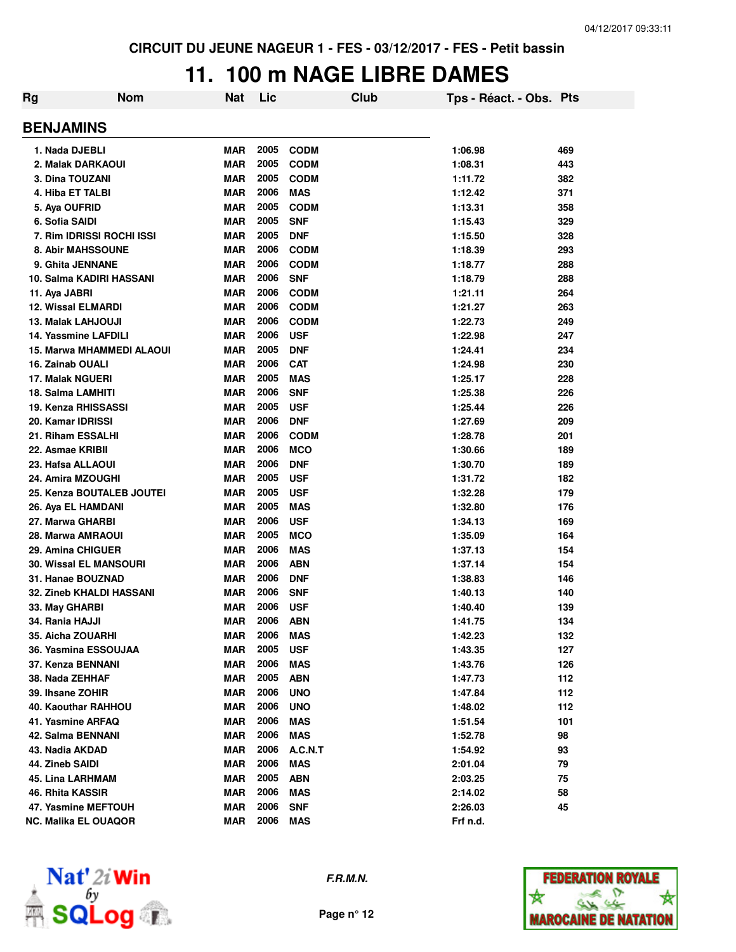## **11. 100 m NAGE LIBRE DAMES**

| Rg | <b>Nom</b>                      | <b>Nat</b> | Lic  |             | Club | Tps - Réact. - Obs. Pts |     |
|----|---------------------------------|------------|------|-------------|------|-------------------------|-----|
|    | <b>BENJAMINS</b>                |            |      |             |      |                         |     |
|    | 1. Nada DJEBLI                  | <b>MAR</b> | 2005 | <b>CODM</b> |      | 1:06.98                 | 469 |
|    | 2. Malak DARKAOUI               | <b>MAR</b> | 2005 | <b>CODM</b> |      | 1:08.31                 | 443 |
|    | 3. Dina TOUZANI                 | <b>MAR</b> | 2005 | <b>CODM</b> |      | 1:11.72                 | 382 |
|    | 4. Hiba ET TALBI                | <b>MAR</b> | 2006 | <b>MAS</b>  |      | 1:12.42                 | 371 |
|    | 5. Aya OUFRID                   | <b>MAR</b> | 2005 | <b>CODM</b> |      | 1:13.31                 | 358 |
|    | 6. Sofia SAIDI                  | <b>MAR</b> | 2005 | <b>SNF</b>  |      | 1:15.43                 | 329 |
|    | 7. Rim IDRISSI ROCHI ISSI       | <b>MAR</b> | 2005 | <b>DNF</b>  |      | 1:15.50                 | 328 |
|    | 8. Abir MAHSSOUNE               | <b>MAR</b> | 2006 | <b>CODM</b> |      | 1:18.39                 | 293 |
|    | 9. Ghita JENNANE                | <b>MAR</b> | 2006 | <b>CODM</b> |      | 1:18.77                 | 288 |
|    | 10. Salma KADIRI HASSANI        | <b>MAR</b> | 2006 | <b>SNF</b>  |      | 1:18.79                 | 288 |
|    | 11. Aya JABRI                   | <b>MAR</b> | 2006 | <b>CODM</b> |      | 1:21.11                 | 264 |
|    | <b>12. Wissal ELMARDI</b>       | <b>MAR</b> | 2006 | <b>CODM</b> |      | 1:21.27                 | 263 |
|    | <b>13. Malak LAHJOUJI</b>       | <b>MAR</b> | 2006 | <b>CODM</b> |      | 1:22.73                 | 249 |
|    | 14. Yassmine LAFDILI            | <b>MAR</b> | 2006 | <b>USF</b>  |      | 1:22.98                 | 247 |
|    | 15. Marwa MHAMMEDI ALAOUI       | <b>MAR</b> | 2005 | <b>DNF</b>  |      | 1:24.41                 | 234 |
|    | 16. Zainab OUALI                | <b>MAR</b> | 2006 | <b>CAT</b>  |      | 1:24.98                 | 230 |
|    | <b>17. Malak NGUERI</b>         | <b>MAR</b> | 2005 | <b>MAS</b>  |      | 1:25.17                 | 228 |
|    | 18. Salma LAMHITI               | <b>MAR</b> | 2006 | <b>SNF</b>  |      | 1:25.38                 | 226 |
|    | 19. Kenza RHISSASSI             | <b>MAR</b> | 2005 | <b>USF</b>  |      | 1:25.44                 | 226 |
|    | 20. Kamar IDRISSI               | <b>MAR</b> | 2006 | <b>DNF</b>  |      | 1:27.69                 | 209 |
|    | 21. Riham ESSALHI               | <b>MAR</b> | 2006 | <b>CODM</b> |      | 1:28.78                 | 201 |
|    | 22. Asmae KRIBII                | <b>MAR</b> | 2006 | <b>MCO</b>  |      | 1:30.66                 | 189 |
|    | 23. Hafsa ALLAOUI               | <b>MAR</b> | 2006 | <b>DNF</b>  |      | 1:30.70                 | 189 |
|    | 24. Amira MZOUGHI               | <b>MAR</b> | 2005 | <b>USF</b>  |      | 1:31.72                 | 182 |
|    | 25. Kenza BOUTALEB JOUTEI       | <b>MAR</b> | 2005 | <b>USF</b>  |      | 1:32.28                 | 179 |
|    | 26. Aya EL HAMDANI              | <b>MAR</b> | 2005 | <b>MAS</b>  |      | 1:32.80                 | 176 |
|    | 27. Marwa GHARBI                | <b>MAR</b> | 2006 | <b>USF</b>  |      | 1:34.13                 | 169 |
|    | 28. Marwa AMRAOUI               | <b>MAR</b> | 2005 | <b>MCO</b>  |      | 1:35.09                 | 164 |
|    | 29. Amina CHIGUER               | <b>MAR</b> | 2006 | <b>MAS</b>  |      | 1:37.13                 | 154 |
|    | <b>30. Wissal EL MANSOURI</b>   | <b>MAR</b> | 2006 | <b>ABN</b>  |      | 1:37.14                 | 154 |
|    | 31. Hanae BOUZNAD               | <b>MAR</b> | 2006 | <b>DNF</b>  |      | 1:38.83                 | 146 |
|    | <b>32. Zineb KHALDI HASSANI</b> | <b>MAR</b> | 2006 | <b>SNF</b>  |      | 1:40.13                 | 140 |
|    | 33. May GHARBI                  | <b>MAR</b> | 2006 | <b>USF</b>  |      | 1:40.40                 | 139 |
|    | 34. Rania HAJJI                 | <b>MAR</b> | 2006 | ABN         |      | 1:41.75                 | 134 |
|    | 35. Aicha ZOUARHI               | MAR        | 2006 | MAS         |      | 1:42.23                 | 132 |
|    | 36. Yasmina ESSOUJAA            | <b>MAR</b> | 2005 | <b>USF</b>  |      | 1:43.35                 | 127 |
|    | 37. Kenza BENNANI               | <b>MAR</b> | 2006 | <b>MAS</b>  |      | 1:43.76                 | 126 |
|    | 38. Nada ZEHHAF                 | <b>MAR</b> | 2005 | <b>ABN</b>  |      | 1:47.73                 | 112 |
|    | 39. Ihsane ZOHIR                | <b>MAR</b> | 2006 | <b>UNO</b>  |      | 1:47.84                 | 112 |
|    | 40. Kaouthar RAHHOU             | <b>MAR</b> | 2006 | <b>UNO</b>  |      | 1:48.02                 | 112 |
|    | 41. Yasmine ARFAQ               | <b>MAR</b> | 2006 | MAS         |      | 1:51.54                 | 101 |
|    | 42. Salma BENNANI               | <b>MAR</b> | 2006 | <b>MAS</b>  |      | 1:52.78                 | 98  |
|    | 43. Nadia AKDAD                 | <b>MAR</b> | 2006 | A.C.N.T     |      | 1:54.92                 | 93  |
|    | 44. Zineb SAIDI                 | <b>MAR</b> | 2006 | <b>MAS</b>  |      | 2:01.04                 | 79  |
|    | 45. Lina LARHMAM                | <b>MAR</b> | 2005 | <b>ABN</b>  |      | 2:03.25                 | 75  |
|    | 46. Rhita KASSIR                | <b>MAR</b> | 2006 | <b>MAS</b>  |      | 2:14.02                 | 58  |
|    | 47. Yasmine MEFTOUH             | <b>MAR</b> | 2006 | <b>SNF</b>  |      | 2:26.03                 | 45  |
|    | <b>NC. Malika EL OUAQOR</b>     | <b>MAR</b> | 2006 | <b>MAS</b>  |      | Frf n.d.                |     |



**F.R.M.N.**

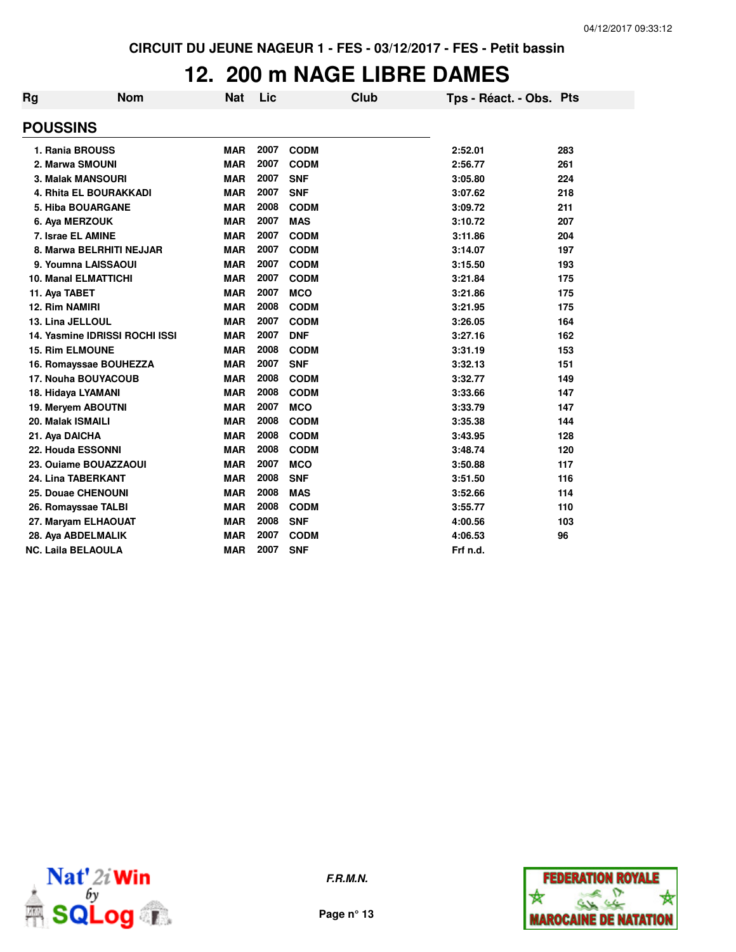### **12. 200 m NAGE LIBRE DAMES**

| <b>Rg</b> | <b>Nom</b>                     | <b>Nat</b> | Lic  | Club        | Tps - Réact. - Obs. Pts |     |
|-----------|--------------------------------|------------|------|-------------|-------------------------|-----|
|           | <b>POUSSINS</b>                |            |      |             |                         |     |
|           | 1. Rania BROUSS                | <b>MAR</b> | 2007 | <b>CODM</b> | 2:52.01                 | 283 |
|           | 2. Marwa SMOUNI                | <b>MAR</b> | 2007 | <b>CODM</b> | 2:56.77                 | 261 |
|           | <b>3. Malak MANSOURI</b>       | <b>MAR</b> | 2007 | <b>SNF</b>  | 3:05.80                 | 224 |
|           | <b>4. Rhita EL BOURAKKADI</b>  | <b>MAR</b> | 2007 | <b>SNF</b>  | 3:07.62                 | 218 |
|           | <b>5. Hiba BOUARGANE</b>       | <b>MAR</b> | 2008 | <b>CODM</b> | 3:09.72                 | 211 |
|           | 6. Aya MERZOUK                 | <b>MAR</b> | 2007 | <b>MAS</b>  | 3:10.72                 | 207 |
|           | 7. Israe EL AMINE              | <b>MAR</b> | 2007 | <b>CODM</b> | 3:11.86                 | 204 |
|           | 8. Marwa BELRHITI NEJJAR       | <b>MAR</b> | 2007 | <b>CODM</b> | 3:14.07                 | 197 |
|           | 9. Youmna LAISSAOUI            | <b>MAR</b> | 2007 | <b>CODM</b> | 3:15.50                 | 193 |
|           | <b>10. Manal ELMATTICHI</b>    | <b>MAR</b> | 2007 | <b>CODM</b> | 3:21.84                 | 175 |
|           | 11. Aya TABET                  | <b>MAR</b> | 2007 | <b>MCO</b>  | 3:21.86                 | 175 |
|           | 12. Rim NAMIRI                 | <b>MAR</b> | 2008 | <b>CODM</b> | 3:21.95                 | 175 |
|           | 13. Lina JELLOUL               | <b>MAR</b> | 2007 | <b>CODM</b> | 3:26.05                 | 164 |
|           | 14. Yasmine IDRISSI ROCHI ISSI | <b>MAR</b> | 2007 | <b>DNF</b>  | 3:27.16                 | 162 |
|           | <b>15. Rim ELMOUNE</b>         | <b>MAR</b> | 2008 | <b>CODM</b> | 3:31.19                 | 153 |
|           | 16. Romayssae BOUHEZZA         | <b>MAR</b> | 2007 | <b>SNF</b>  | 3:32.13                 | 151 |
|           | 17. Nouha BOUYACOUB            | <b>MAR</b> | 2008 | <b>CODM</b> | 3:32.77                 | 149 |
|           | 18. Hidaya LYAMANI             | <b>MAR</b> | 2008 | <b>CODM</b> | 3:33.66                 | 147 |
|           | 19. Meryem ABOUTNI             | <b>MAR</b> | 2007 | <b>MCO</b>  | 3:33.79                 | 147 |
|           | 20. Malak ISMAILI              | <b>MAR</b> | 2008 | <b>CODM</b> | 3:35.38                 | 144 |
|           | 21. Aya DAICHA                 | <b>MAR</b> | 2008 | <b>CODM</b> | 3:43.95                 | 128 |
|           | 22. Houda ESSONNI              | <b>MAR</b> | 2008 | <b>CODM</b> | 3:48.74                 | 120 |
|           | 23. Ouiame BOUAZZAOUI          | <b>MAR</b> | 2007 | <b>MCO</b>  | 3:50.88                 | 117 |
|           | 24. Lina TABERKANT             | <b>MAR</b> | 2008 | <b>SNF</b>  | 3:51.50                 | 116 |
|           | <b>25. Douae CHENOUNI</b>      | <b>MAR</b> | 2008 | <b>MAS</b>  | 3:52.66                 | 114 |
|           | 26. Romayssae TALBI            | <b>MAR</b> | 2008 | <b>CODM</b> | 3:55.77                 | 110 |
|           | 27. Maryam ELHAOUAT            | <b>MAR</b> | 2008 | <b>SNF</b>  | 4:00.56                 | 103 |
|           | 28. Aya ABDELMALIK             | <b>MAR</b> | 2007 | <b>CODM</b> | 4:06.53                 | 96  |
|           | <b>NC. Laila BELAOULA</b>      | <b>MAR</b> | 2007 | <b>SNF</b>  | Frf n.d.                |     |



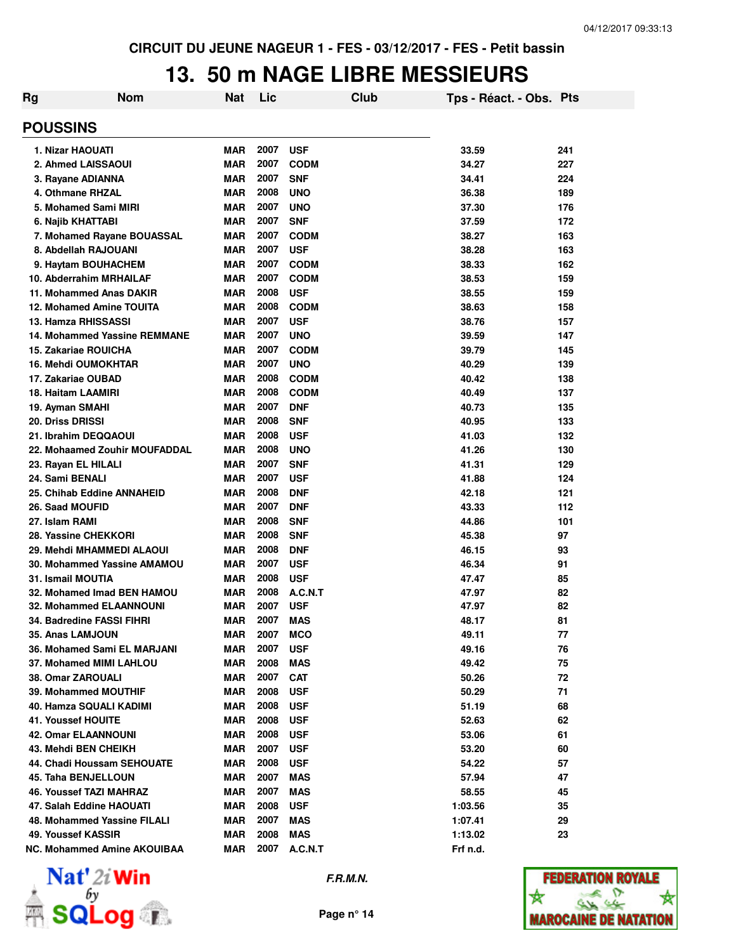### **13. 50 m NAGE LIBRE MESSIEURS**

| Rg | <b>Nom</b>                          | Nat        | Lic  |              | Club | Tps - Réact. - Obs. Pts |     |
|----|-------------------------------------|------------|------|--------------|------|-------------------------|-----|
|    | <b>POUSSINS</b>                     |            |      |              |      |                         |     |
|    | 1. Nizar HAOUATI                    | <b>MAR</b> | 2007 | <b>USF</b>   |      | 33.59                   | 241 |
|    | 2. Ahmed LAISSAOUI                  | <b>MAR</b> | 2007 | <b>CODM</b>  |      | 34.27                   | 227 |
|    | 3. Rayane ADIANNA                   | <b>MAR</b> | 2007 | <b>SNF</b>   |      | 34.41                   | 224 |
|    | 4. Othmane RHZAL                    | <b>MAR</b> | 2008 | <b>UNO</b>   |      | 36.38                   | 189 |
|    | 5. Mohamed Sami MIRI                | <b>MAR</b> | 2007 | <b>UNO</b>   |      | 37.30                   | 176 |
|    | 6. Najib KHATTABI                   | <b>MAR</b> | 2007 | <b>SNF</b>   |      | 37.59                   | 172 |
|    | 7. Mohamed Rayane BOUASSAL          | <b>MAR</b> | 2007 | <b>CODM</b>  |      | 38.27                   | 163 |
|    | 8. Abdellah RAJOUANI                | <b>MAR</b> | 2007 | <b>USF</b>   |      | 38.28                   | 163 |
|    | 9. Haytam BOUHACHEM                 | <b>MAR</b> | 2007 | <b>CODM</b>  |      | 38.33                   | 162 |
|    | 10. Abderrahim MRHAILAF             | <b>MAR</b> | 2007 | <b>CODM</b>  |      | 38.53                   | 159 |
|    | 11. Mohammed Anas DAKIR             | <b>MAR</b> | 2008 | <b>USF</b>   |      | 38.55                   | 159 |
|    | <b>12. Mohamed Amine TOUITA</b>     | <b>MAR</b> | 2008 | <b>CODM</b>  |      | 38.63                   | 158 |
|    | 13. Hamza RHISSASSI                 | <b>MAR</b> | 2007 | <b>USF</b>   |      | 38.76                   | 157 |
|    | <b>14. Mohammed Yassine REMMANE</b> | <b>MAR</b> | 2007 | <b>UNO</b>   |      | 39.59                   | 147 |
|    | <b>15. Zakariae ROUICHA</b>         | <b>MAR</b> | 2007 | <b>CODM</b>  |      | 39.79                   | 145 |
|    | <b>16. Mehdi OUMOKHTAR</b>          | <b>MAR</b> | 2007 | <b>UNO</b>   |      | 40.29                   | 139 |
|    | 17. Zakariae OUBAD                  | <b>MAR</b> | 2008 | <b>CODM</b>  |      | 40.42                   | 138 |
|    | 18. Haitam LAAMIRI                  | <b>MAR</b> | 2008 | <b>CODM</b>  |      | 40.49                   | 137 |
|    | 19. Ayman SMAHI                     | <b>MAR</b> | 2007 | <b>DNF</b>   |      | 40.73                   | 135 |
|    | 20. Driss DRISSI                    | <b>MAR</b> | 2008 | <b>SNF</b>   |      | 40.95                   | 133 |
|    | 21. Ibrahim DEQQAOUI                | <b>MAR</b> | 2008 | <b>USF</b>   |      | 41.03                   | 132 |
|    | 22. Mohaamed Zouhir MOUFADDAL       | <b>MAR</b> | 2008 | <b>UNO</b>   |      | 41.26                   | 130 |
|    | 23. Rayan EL HILALI                 | <b>MAR</b> | 2007 | <b>SNF</b>   |      | 41.31                   | 129 |
|    | 24. Sami BENALI                     | <b>MAR</b> | 2007 | <b>USF</b>   |      | 41.88                   | 124 |
|    | 25. Chihab Eddine ANNAHEID          | <b>MAR</b> | 2008 | <b>DNF</b>   |      | 42.18                   | 121 |
|    | 26. Saad MOUFID                     | <b>MAR</b> | 2007 | <b>DNF</b>   |      | 43.33                   | 112 |
|    | 27. Islam RAMI                      | <b>MAR</b> | 2008 | <b>SNF</b>   |      | 44.86                   | 101 |
|    | 28. Yassine CHEKKORI                | <b>MAR</b> | 2008 | <b>SNF</b>   |      | 45.38                   | 97  |
|    | 29. Mehdi MHAMMEDI ALAOUI           | <b>MAR</b> | 2008 | <b>DNF</b>   |      | 46.15                   | 93  |
|    | 30. Mohammed Yassine AMAMOU         | <b>MAR</b> | 2007 | <b>USF</b>   |      | 46.34                   | 91  |
|    | 31. Ismail MOUTIA                   | <b>MAR</b> | 2008 | <b>USF</b>   |      | 47.47                   | 85  |
|    | 32. Mohamed Imad BEN HAMOU          | <b>MAR</b> | 2008 | A.C.N.T      |      | 47.97                   | 82  |
|    | <b>32. Mohammed ELAANNOUNI</b>      | <b>MAR</b> | 2007 | <b>USF</b>   |      | 47.97                   | 82  |
|    | 34. Badredine FASSI FIHRI           | <b>MAR</b> | 2007 | <b>MAS</b>   |      | 48.17                   | 81  |
|    | 35. Anas LAMJOUN                    | MAR        | 2007 | <b>MCO</b>   |      | 49.11                   | 77  |
|    | 36. Mohamed Sami EL MARJANI         | <b>MAR</b> | 2007 | <b>USF</b>   |      | 49.16                   | 76  |
|    | 37. Mohamed MIMI LAHLOU             | <b>MAR</b> | 2008 | <b>MAS</b>   |      | 49.42                   | 75  |
|    | 38. Omar ZAROUALI                   | <b>MAR</b> | 2007 | <b>CAT</b>   |      | 50.26                   | 72  |
|    | 39. Mohammed MOUTHIF                | <b>MAR</b> | 2008 | <b>USF</b>   |      | 50.29                   | 71  |
|    | 40. Hamza SQUALI KADIMI             | <b>MAR</b> | 2008 | <b>USF</b>   |      | 51.19                   | 68  |
|    | 41. Youssef HOUITE                  | MAR        | 2008 | <b>USF</b>   |      | 52.63                   | 62  |
|    | <b>42. Omar ELAANNOUNI</b>          | <b>MAR</b> | 2008 | <b>USF</b>   |      | 53.06                   | 61  |
|    | 43. Mehdi BEN CHEIKH                | <b>MAR</b> | 2007 | <b>USF</b>   |      | 53.20                   | 60  |
|    | 44. Chadi Houssam SEHOUATE          | <b>MAR</b> | 2008 | <b>USF</b>   |      | 54.22                   | 57  |
|    | 45. Taha BENJELLOUN                 | <b>MAR</b> | 2007 | <b>MAS</b>   |      | 57.94                   | 47  |
|    | <b>46. Youssef TAZI MAHRAZ</b>      | <b>MAR</b> | 2007 | <b>MAS</b>   |      | 58.55                   | 45  |
|    | 47. Salah Eddine HAOUATI            | <b>MAR</b> | 2008 | <b>USF</b>   |      | 1:03.56                 | 35  |
|    | 48. Mohammed Yassine FILALI         | <b>MAR</b> | 2007 | MAS          |      | 1:07.41                 | 29  |
|    | 49. Youssef KASSIR                  | <b>MAR</b> | 2008 | <b>MAS</b>   |      | 1:13.02                 | 23  |
|    | NC. Mohammed Amine AKOUIBAA         | <b>MAR</b> |      | 2007 A.C.N.T |      | Frf n.d.                |     |



**Page n° 14**

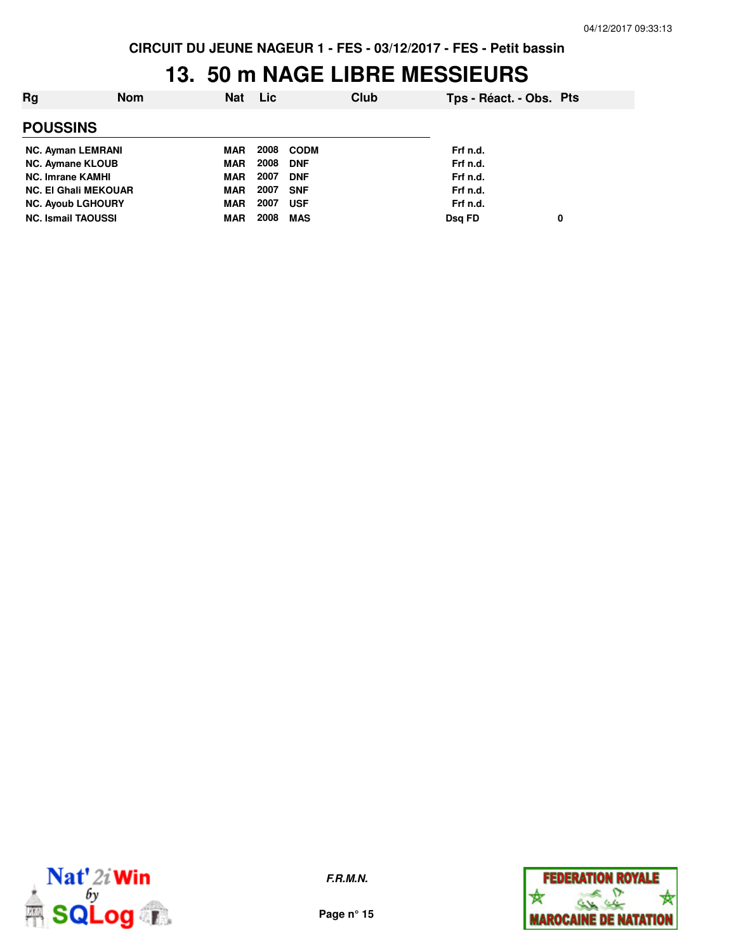#### **13. 50 m NAGE LIBRE MESSIEURS**

| Rq                          | <b>Nom</b> | <b>Nat</b> | Lic  | Club        | Tps - Réact. - Obs. Pts |  |
|-----------------------------|------------|------------|------|-------------|-------------------------|--|
| <b>POUSSINS</b>             |            |            |      |             |                         |  |
| <b>NC. Ayman LEMRANI</b>    |            | MAR        | 2008 | <b>CODM</b> | Frf n.d.                |  |
| <b>NC. Aymane KLOUB</b>     |            | MAR        | 2008 | <b>DNF</b>  | Frf n.d.                |  |
| <b>NC. Imrane KAMHI</b>     |            | MAR        | 2007 | <b>DNF</b>  | Frf n.d.                |  |
| <b>NC. El Ghali MEKOUAR</b> |            | MAR        | 2007 | <b>SNF</b>  | Frf n.d.                |  |
| <b>NC. Ayoub LGHOURY</b>    |            | MAR        | 2007 | <b>USF</b>  | Frf n.d.                |  |
| <b>NC. Ismail TAOUSSI</b>   |            | <b>MAR</b> | 2008 | <b>MAS</b>  | Dsg FD<br>0             |  |



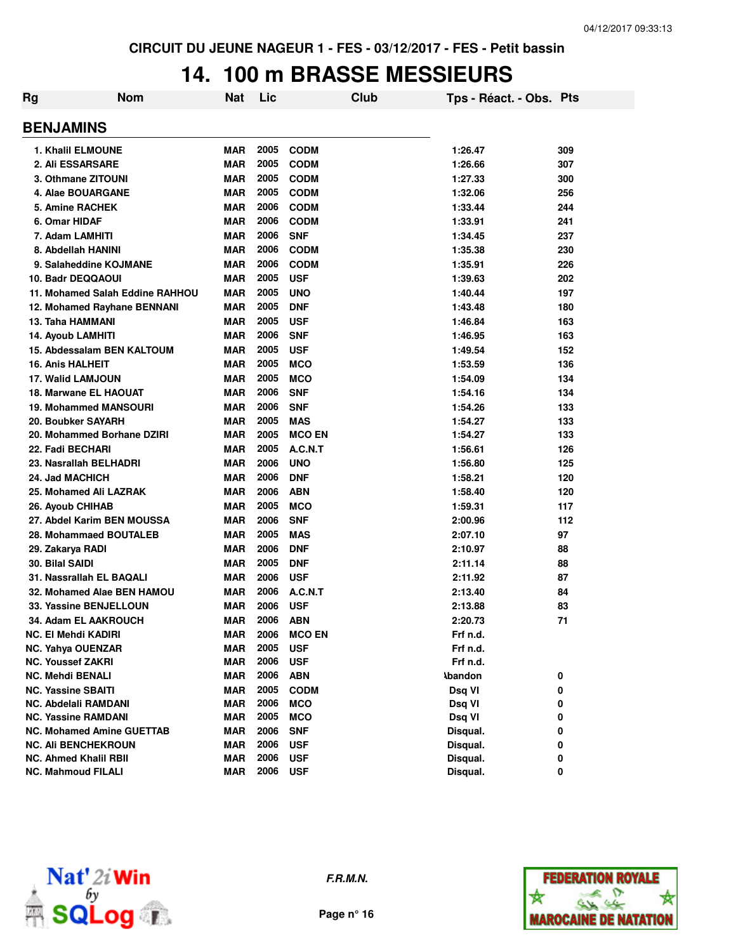# **14. 100 m BRASSE MESSIEURS**

| Rg | <b>Nom</b>                       | Nat        | Lic  | Club          | Tps - Réact. - Obs. Pts |     |
|----|----------------------------------|------------|------|---------------|-------------------------|-----|
|    | <b>BENJAMINS</b>                 |            |      |               |                         |     |
|    | 1. Khalil ELMOUNE                | <b>MAR</b> | 2005 | <b>CODM</b>   | 1:26.47                 | 309 |
|    | 2. Ali ESSARSARE                 | <b>MAR</b> | 2005 | <b>CODM</b>   | 1:26.66                 | 307 |
|    | 3. Othmane ZITOUNI               | <b>MAR</b> | 2005 | <b>CODM</b>   | 1:27.33                 | 300 |
|    | 4. Alae BOUARGANE                | <b>MAR</b> | 2005 | <b>CODM</b>   | 1:32.06                 | 256 |
|    | 5. Amine RACHEK                  | <b>MAR</b> | 2006 | <b>CODM</b>   | 1:33.44                 | 244 |
|    | 6. Omar HIDAF                    | <b>MAR</b> | 2006 | <b>CODM</b>   | 1:33.91                 | 241 |
|    | 7. Adam LAMHITI                  | <b>MAR</b> | 2006 | <b>SNF</b>    | 1:34.45                 | 237 |
|    | 8. Abdellah HANINI               | <b>MAR</b> | 2006 | <b>CODM</b>   | 1:35.38                 | 230 |
|    | 9. Salaheddine KOJMANE           | <b>MAR</b> | 2006 | <b>CODM</b>   | 1:35.91                 | 226 |
|    | 10. Badr DEQQAOUI                | <b>MAR</b> | 2005 | <b>USF</b>    | 1:39.63                 | 202 |
|    | 11. Mohamed Salah Eddine RAHHOU  | <b>MAR</b> | 2005 | <b>UNO</b>    | 1:40.44                 | 197 |
|    | 12. Mohamed Rayhane BENNANI      | <b>MAR</b> | 2005 | <b>DNF</b>    | 1:43.48                 | 180 |
|    | 13. Taha HAMMANI                 | <b>MAR</b> | 2005 | <b>USF</b>    | 1:46.84                 | 163 |
|    | <b>14. Ayoub LAMHITI</b>         | <b>MAR</b> | 2006 | <b>SNF</b>    | 1:46.95                 | 163 |
|    | 15. Abdessalam BEN KALTOUM       | <b>MAR</b> | 2005 | <b>USF</b>    | 1:49.54                 | 152 |
|    | <b>16. Anis HALHEIT</b>          | <b>MAR</b> | 2005 | <b>MCO</b>    | 1:53.59                 | 136 |
|    | <b>17. Walid LAMJOUN</b>         | <b>MAR</b> | 2005 | <b>MCO</b>    | 1:54.09                 | 134 |
|    | 18. Marwane EL HAOUAT            | <b>MAR</b> | 2006 | <b>SNF</b>    | 1:54.16                 | 134 |
|    | <b>19. Mohammed MANSOURI</b>     | <b>MAR</b> | 2006 | <b>SNF</b>    | 1:54.26                 | 133 |
|    | 20. Boubker SAYARH               | <b>MAR</b> | 2005 | <b>MAS</b>    | 1:54.27                 | 133 |
|    | 20. Mohammed Borhane DZIRI       | <b>MAR</b> | 2005 | <b>MCO EN</b> | 1:54.27                 | 133 |
|    | 22. Fadi BECHARI                 | <b>MAR</b> | 2005 | A.C.N.T       | 1:56.61                 | 126 |
|    | 23. Nasrallah BELHADRI           | <b>MAR</b> | 2006 | <b>UNO</b>    | 1:56.80                 | 125 |
|    | 24. Jad MACHICH                  | <b>MAR</b> | 2006 | <b>DNF</b>    | 1:58.21                 | 120 |
|    | 25. Mohamed Ali LAZRAK           | <b>MAR</b> | 2006 | <b>ABN</b>    | 1:58.40                 | 120 |
|    | <b>26. Ayoub CHIHAB</b>          | <b>MAR</b> | 2005 | <b>MCO</b>    | 1:59.31                 | 117 |
|    | 27. Abdel Karim BEN MOUSSA       | <b>MAR</b> | 2006 | <b>SNF</b>    | 2:00.96                 | 112 |
|    | 28. Mohammaed BOUTALEB           | <b>MAR</b> | 2005 | <b>MAS</b>    | 2:07.10                 | 97  |
|    | 29. Zakarya RADI                 | MAR        | 2006 | <b>DNF</b>    | 2:10.97                 | 88  |
|    | 30. Bilal SAIDI                  | MAR        | 2005 | <b>DNF</b>    | 2:11.14                 | 88  |
|    | 31. Nassrallah EL BAQALI         | MAR        | 2006 | <b>USF</b>    | 2:11.92                 | 87  |
|    | 32. Mohamed Alae BEN HAMOU       | MAR        | 2006 | A.C.N.T       | 2:13.40                 | 84  |
|    | 33. Yassine BENJELLOUN           | MAR        | 2006 | <b>USF</b>    | 2:13.88                 | 83  |
|    | 34. Adam EL AAKROUCH             | <b>MAR</b> | 2006 | <b>ABN</b>    | 2:20.73                 | 71  |
|    | NC. El Mehdi KADIRI              | <b>MAR</b> | 2006 | <b>MCO EN</b> | Frf n.d.                |     |
|    | <b>NC. Yahya OUENZAR</b>         | <b>MAR</b> | 2005 | <b>USF</b>    | Frf n.d.                |     |
|    | <b>NC. Youssef ZAKRI</b>         | <b>MAR</b> | 2006 | <b>USF</b>    | Frf n.d.                |     |
|    | <b>NC. Mehdi BENALI</b>          | <b>MAR</b> | 2006 | <b>ABN</b>    | <b>\bandon</b>          | 0   |
|    | <b>NC. Yassine SBAITI</b>        | <b>MAR</b> | 2005 | <b>CODM</b>   | Dsq VI                  | 0   |
|    | <b>NC. Abdelali RAMDANI</b>      | <b>MAR</b> | 2006 | <b>MCO</b>    | Dsq VI                  | 0   |
|    | <b>NC. Yassine RAMDANI</b>       | <b>MAR</b> | 2005 | <b>MCO</b>    | Dsq VI                  | 0   |
|    | <b>NC. Mohamed Amine GUETTAB</b> | <b>MAR</b> | 2006 | <b>SNF</b>    | Disqual.                | 0   |
|    | <b>NC. Ali BENCHEKROUN</b>       | <b>MAR</b> | 2006 | <b>USF</b>    | Disqual.                | 0   |
|    | <b>NC. Ahmed Khalil RBII</b>     | <b>MAR</b> | 2006 | <b>USF</b>    | Disqual.                | 0   |
|    | <b>NC. Mahmoud FILALI</b>        | <b>MAR</b> | 2006 | <b>USF</b>    | Disqual.                | 0   |



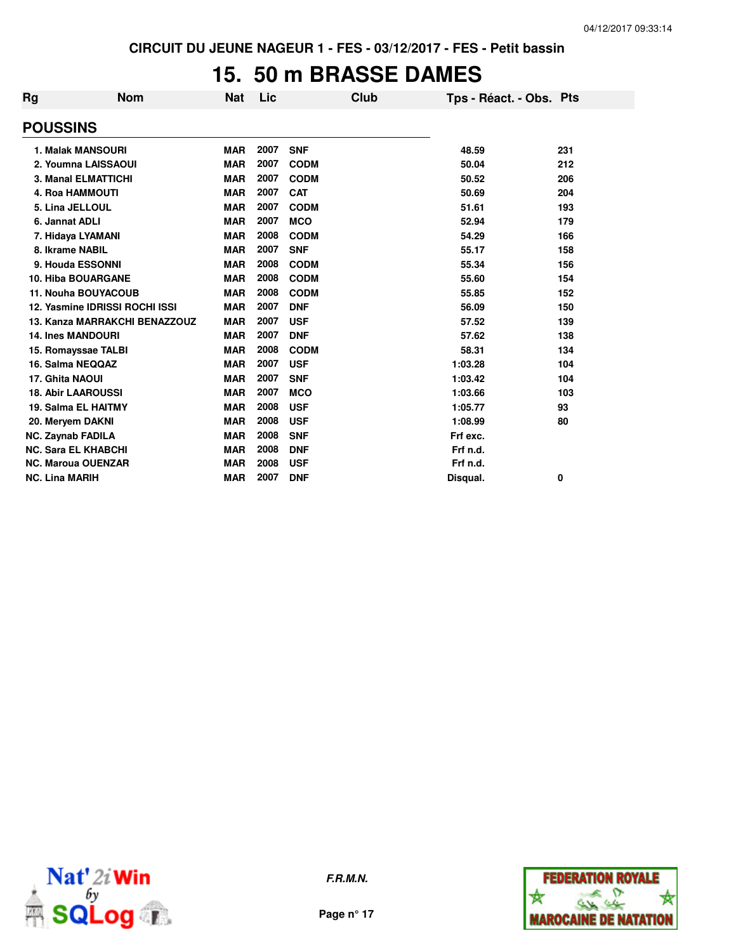### **15. 50 m BRASSE DAMES**

| Rg | <b>Nom</b>                     | <b>Nat</b> | Lic  | Club        | Tps - Réact. - Obs. Pts |     |
|----|--------------------------------|------------|------|-------------|-------------------------|-----|
|    | <b>POUSSINS</b>                |            |      |             |                         |     |
|    | <b>1. Malak MANSOURI</b>       | <b>MAR</b> | 2007 | <b>SNF</b>  | 48.59                   | 231 |
|    | 2. Youmna LAISSAOUI            | <b>MAR</b> | 2007 | <b>CODM</b> | 50.04                   | 212 |
|    | <b>3. Manal ELMATTICHI</b>     | <b>MAR</b> | 2007 | <b>CODM</b> | 50.52                   | 206 |
|    | <b>4. Roa HAMMOUTI</b>         | <b>MAR</b> | 2007 | <b>CAT</b>  | 50.69                   | 204 |
|    | 5. Lina JELLOUL                | <b>MAR</b> | 2007 | <b>CODM</b> | 51.61                   | 193 |
|    | 6. Jannat ADLI                 | <b>MAR</b> | 2007 | <b>MCO</b>  | 52.94                   | 179 |
|    | 7. Hidaya LYAMANI              | <b>MAR</b> | 2008 | <b>CODM</b> | 54.29                   | 166 |
|    | 8. Ikrame NABIL                | <b>MAR</b> | 2007 | <b>SNF</b>  | 55.17                   | 158 |
|    | 9. Houda ESSONNI               | <b>MAR</b> | 2008 | <b>CODM</b> | 55.34                   | 156 |
|    | <b>10. Hiba BOUARGANE</b>      | <b>MAR</b> | 2008 | <b>CODM</b> | 55.60                   | 154 |
|    | <b>11. Nouha BOUYACOUB</b>     | <b>MAR</b> | 2008 | <b>CODM</b> | 55.85                   | 152 |
|    | 12. Yasmine IDRISSI ROCHI ISSI | <b>MAR</b> | 2007 | <b>DNF</b>  | 56.09                   | 150 |
|    | 13. Kanza MARRAKCHI BENAZZOUZ  | <b>MAR</b> | 2007 | <b>USF</b>  | 57.52                   | 139 |
|    | <b>14. Ines MANDOURI</b>       | <b>MAR</b> | 2007 | <b>DNF</b>  | 57.62                   | 138 |
|    | 15. Romayssae TALBI            | <b>MAR</b> | 2008 | <b>CODM</b> | 58.31                   | 134 |
|    | 16. Salma NEQQAZ               | <b>MAR</b> | 2007 | <b>USF</b>  | 1:03.28                 | 104 |
|    | 17. Ghita NAOUI                | <b>MAR</b> | 2007 | <b>SNF</b>  | 1:03.42                 | 104 |
|    | <b>18. Abir LAAROUSSI</b>      | <b>MAR</b> | 2007 | <b>MCO</b>  | 1:03.66                 | 103 |
|    | <b>19. Salma EL HAITMY</b>     | <b>MAR</b> | 2008 | <b>USF</b>  | 1:05.77                 | 93  |
|    | 20. Meryem DAKNI               | <b>MAR</b> | 2008 | <b>USF</b>  | 1:08.99                 | 80  |
|    | <b>NC. Zaynab FADILA</b>       | <b>MAR</b> | 2008 | <b>SNF</b>  | Frf exc.                |     |
|    | <b>NC. Sara EL KHABCHI</b>     | <b>MAR</b> | 2008 | <b>DNF</b>  | Frf n.d.                |     |
|    | <b>NC. Maroua OUENZAR</b>      | <b>MAR</b> | 2008 | <b>USF</b>  | Frf n.d.                |     |
|    | <b>NC. Lina MARIH</b>          | <b>MAR</b> | 2007 | <b>DNF</b>  | Disqual.                | 0   |



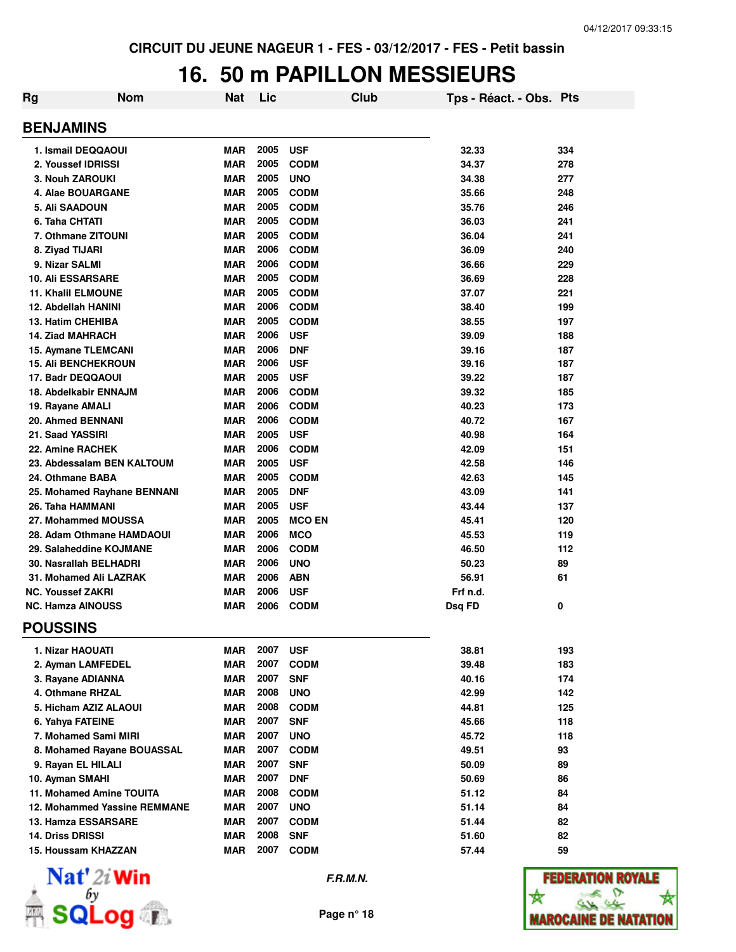## **16. 50 m PAPILLON MESSIEURS**

| <b>Rg</b>                   | <b>Nom</b>                   | <b>Nat</b> | Lic      |               | Club | Tps - Réact. - Obs. Pts |     |
|-----------------------------|------------------------------|------------|----------|---------------|------|-------------------------|-----|
|                             |                              |            |          |               |      |                         |     |
| <b>BENJAMINS</b>            |                              |            |          |               |      |                         |     |
| 1. Ismail DEQQAOUI          |                              | <b>MAR</b> | 2005     | <b>USF</b>    |      | 32.33                   | 334 |
| 2. Youssef IDRISSI          |                              | <b>MAR</b> | 2005     | <b>CODM</b>   |      | 34.37                   | 278 |
| 3. Nouh ZAROUKI             |                              | <b>MAR</b> | 2005     | <b>UNO</b>    |      | 34.38                   | 277 |
| 4. Alae BOUARGANE           |                              | <b>MAR</b> | 2005     | <b>CODM</b>   |      | 35.66                   | 248 |
| 5. Ali SAADOUN              |                              | <b>MAR</b> | 2005     | <b>CODM</b>   |      | 35.76                   | 246 |
| 6. Taha CHTATI              |                              | <b>MAR</b> | 2005     | <b>CODM</b>   |      | 36.03                   | 241 |
| 7. Othmane ZITOUNI          |                              | <b>MAR</b> | 2005     | <b>CODM</b>   |      | 36.04                   | 241 |
| 8. Ziyad TIJARI             |                              | <b>MAR</b> | 2006     | <b>CODM</b>   |      | 36.09                   | 240 |
| 9. Nizar SALMI              |                              | <b>MAR</b> | 2006     | <b>CODM</b>   |      | 36.66                   | 229 |
| <b>10. Ali ESSARSARE</b>    |                              | <b>MAR</b> | 2005     | <b>CODM</b>   |      | 36.69                   | 228 |
| <b>11. Khalil ELMOUNE</b>   |                              | <b>MAR</b> | 2005     | <b>CODM</b>   |      | 37.07                   | 221 |
| 12. Abdellah HANINI         |                              | <b>MAR</b> | 2006     | <b>CODM</b>   |      | 38.40                   | 199 |
| 13. Hatim CHEHIBA           |                              | <b>MAR</b> | 2005     | <b>CODM</b>   |      | 38.55                   | 197 |
| <b>14. Ziad MAHRACH</b>     |                              | <b>MAR</b> | 2006     | <b>USF</b>    |      | 39.09                   | 188 |
| 15. Aymane TLEMCANI         |                              | <b>MAR</b> | 2006     | <b>DNF</b>    |      | 39.16                   | 187 |
| <b>15. Ali BENCHEKROUN</b>  |                              | <b>MAR</b> | 2006     | <b>USF</b>    |      | 39.16                   | 187 |
| 17. Badr DEQQAOUI           |                              | <b>MAR</b> | 2005     | <b>USF</b>    |      | 39.22                   | 187 |
| 18. Abdelkabir ENNAJM       |                              | <b>MAR</b> | 2006     | <b>CODM</b>   |      | 39.32                   | 185 |
| 19. Rayane AMALI            |                              | <b>MAR</b> | 2006     | <b>CODM</b>   |      | 40.23                   | 173 |
| 20. Ahmed BENNANI           |                              | <b>MAR</b> | 2006     | <b>CODM</b>   |      | 40.72                   | 167 |
| 21. Saad YASSIRI            |                              | <b>MAR</b> | 2005     | <b>USF</b>    |      | 40.98                   | 164 |
| 22. Amine RACHEK            |                              | MAR        | 2006     | <b>CODM</b>   |      | 42.09                   | 151 |
| 23. Abdessalam BEN KALTOUM  |                              | <b>MAR</b> | 2005     | <b>USF</b>    |      | 42.58                   | 146 |
| 24. Othmane BABA            |                              | <b>MAR</b> | 2005     | <b>CODM</b>   |      | 42.63                   | 145 |
| 25. Mohamed Rayhane BENNANI |                              | <b>MAR</b> | 2005     | <b>DNF</b>    |      | 43.09                   | 141 |
| 26. Taha HAMMANI            |                              | <b>MAR</b> | 2005     | <b>USF</b>    |      | 43.44                   | 137 |
| 27. Mohammed MOUSSA         |                              | <b>MAR</b> | 2005     | <b>MCO EN</b> |      | 45.41                   | 120 |
| 28. Adam Othmane HAMDAOUI   |                              | <b>MAR</b> | 2006     | <b>MCO</b>    |      | 45.53                   | 119 |
| 29. Salaheddine KOJMANE     |                              | <b>MAR</b> | 2006     | <b>CODM</b>   |      | 46.50                   | 112 |
| 30. Nasrallah BELHADRI      |                              | <b>MAR</b> | 2006     | <b>UNO</b>    |      | 50.23                   | 89  |
| 31. Mohamed Ali LAZRAK      |                              | <b>MAR</b> | 2006     | <b>ABN</b>    |      | 56.91                   | 61  |
| <b>NC. Youssef ZAKRI</b>    |                              | <b>MAR</b> | 2006     | <b>USF</b>    |      | Frf n.d.                |     |
| <b>NC. Hamza AINOUSS</b>    |                              | <b>MAR</b> | 2006     | <b>CODM</b>   |      | Dsg FD                  | 0   |
| <b>POUSSINS</b>             |                              |            |          |               |      |                         |     |
| 1. Nizar HAOUATI            |                              | MAR        | 2007 USF |               |      | 38.81                   | 193 |
| 2. Ayman LAMFEDEL           |                              | MAR        | 2007     | <b>CODM</b>   |      | 39.48                   | 183 |
| 3. Rayane ADIANNA           |                              | MAR        | 2007     | <b>SNF</b>    |      | 40.16                   | 174 |
| 4. Othmane RHZAL            |                              | <b>MAR</b> | 2008     | <b>UNO</b>    |      | 42.99                   | 142 |
| 5. Hicham AZIZ ALAOUI       |                              | MAR        |          | 2008 CODM     |      | 44.81                   | 125 |
| 6. Yahya FATEINE            |                              | MAR        | 2007     | <b>SNF</b>    |      | 45.66                   | 118 |
| 7. Mohamed Sami MIRI        |                              | MAR        | 2007     | <b>UNO</b>    |      | 45.72                   | 118 |
|                             | 8. Mohamed Rayane BOUASSAL   | MAR        | 2007     | <b>CODM</b>   |      | 49.51                   | 93  |
| 9. Rayan EL HILALI          |                              | MAR        | 2007     | <b>SNF</b>    |      | 50.09                   | 89  |
| 10. Ayman SMAHI             |                              | <b>MAR</b> | 2007     | <b>DNF</b>    |      | 50.69                   | 86  |
| 11. Mohamed Amine TOUITA    |                              | <b>MAR</b> | 2008     | <b>CODM</b>   |      | 51.12                   | 84  |
|                             | 12. Mohammed Yassine REMMANE | <b>MAR</b> | 2007     | <b>UNO</b>    |      | 51.14                   | 84  |
| 13. Hamza ESSARSARE         |                              | <b>MAR</b> | 2007     | <b>CODM</b>   |      | 51.44                   | 82  |
| 14. Driss DRISSI            |                              | <b>MAR</b> | 2008     | <b>SNF</b>    |      | 51.60                   | 82  |
| 15. Houssam KHAZZAN         |                              | <b>MAR</b> | 2007     | <b>CODM</b>   |      | 57.44                   | 59  |
|                             |                              |            |          |               |      |                         |     |



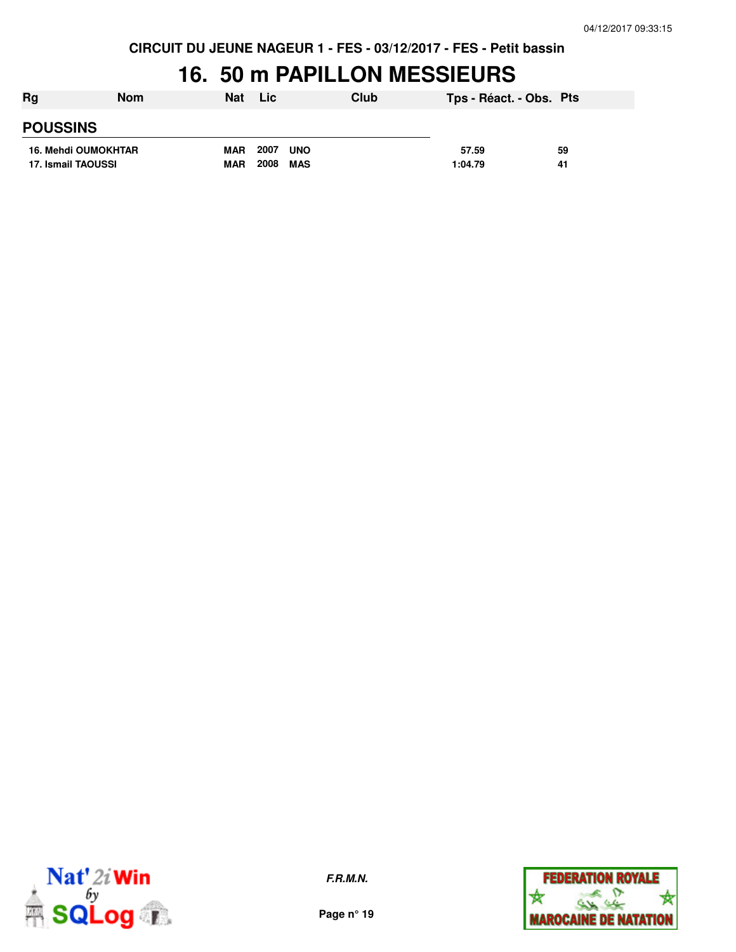#### **16. 50 m PAPILLON MESSIEURS**

| Rg<br><b>Nom</b> |                     | <b>Nat</b> | <b>Lic</b>         | Club | Tps - Réact. - Obs. Pts |    |
|------------------|---------------------|------------|--------------------|------|-------------------------|----|
| <b>POUSSINS</b>  |                     |            |                    |      |                         |    |
|                  | 16. Mehdi OUMOKHTAR | <b>MAR</b> | 2007<br><b>UNO</b> |      | 57.59                   | 59 |
|                  | 17. Ismail TAOUSSI  | <b>MAR</b> | 2008<br>MAS        |      | 1:04.79                 | 41 |



**F.R.M.N.**

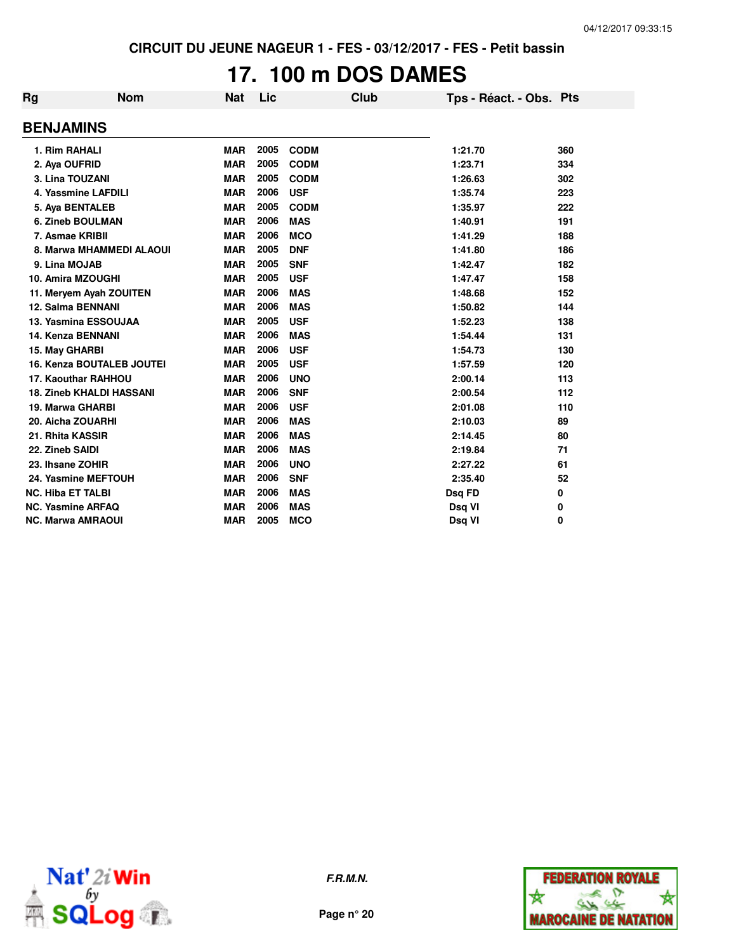## **17. 100 m DOS DAMES**

| Rg                       | <b>Nom</b>                       | <b>Nat</b> | Lic  | <b>Club</b> | Tps - Réact. - Obs. Pts |     |
|--------------------------|----------------------------------|------------|------|-------------|-------------------------|-----|
| <b>BENJAMINS</b>         |                                  |            |      |             |                         |     |
| 1. Rim RAHALI            |                                  | <b>MAR</b> | 2005 | <b>CODM</b> | 1:21.70                 | 360 |
| 2. Aya OUFRID            |                                  | <b>MAR</b> | 2005 | <b>CODM</b> | 1:23.71                 | 334 |
|                          | 3. Lina TOUZANI                  | <b>MAR</b> | 2005 | <b>CODM</b> | 1:26.63                 | 302 |
|                          | 4. Yassmine LAFDILI              | <b>MAR</b> | 2006 | <b>USF</b>  | 1:35.74                 | 223 |
|                          | 5. Aya BENTALEB                  | <b>MAR</b> | 2005 | <b>CODM</b> | 1:35.97                 | 222 |
|                          | <b>6. Zineb BOULMAN</b>          | <b>MAR</b> | 2006 | <b>MAS</b>  | 1:40.91                 | 191 |
|                          | 7. Asmae KRIBII                  | <b>MAR</b> | 2006 | <b>MCO</b>  | 1:41.29                 | 188 |
|                          | 8. Marwa MHAMMEDI ALAOUI         | <b>MAR</b> | 2005 | <b>DNF</b>  | 1:41.80                 | 186 |
| 9. Lina MOJAB            |                                  | <b>MAR</b> | 2005 | <b>SNF</b>  | 1:42.47                 | 182 |
|                          | 10. Amira MZOUGHI                | <b>MAR</b> | 2005 | <b>USF</b>  | 1:47.47                 | 158 |
|                          | 11. Meryem Ayah ZOUITEN          | <b>MAR</b> | 2006 | <b>MAS</b>  | 1:48.68                 | 152 |
|                          | <b>12. Salma BENNANI</b>         | <b>MAR</b> | 2006 | <b>MAS</b>  | 1:50.82                 | 144 |
|                          | 13. Yasmina ESSOUJAA             | <b>MAR</b> | 2005 | <b>USF</b>  | 1:52.23                 | 138 |
|                          | <b>14. Kenza BENNANI</b>         | <b>MAR</b> | 2006 | <b>MAS</b>  | 1:54.44                 | 131 |
| 15. May GHARBI           |                                  | <b>MAR</b> | 2006 | <b>USF</b>  | 1:54.73                 | 130 |
|                          | <b>16. Kenza BOUTALEB JOUTEI</b> | <b>MAR</b> | 2005 | <b>USF</b>  | 1:57.59                 | 120 |
|                          | <b>17. Kaouthar RAHHOU</b>       | <b>MAR</b> | 2006 | <b>UNO</b>  | 2:00.14                 | 113 |
|                          | <b>18. Zineb KHALDI HASSANI</b>  | <b>MAR</b> | 2006 | <b>SNF</b>  | 2:00.54                 | 112 |
|                          | 19. Marwa GHARBI                 | <b>MAR</b> | 2006 | <b>USF</b>  | 2:01.08                 | 110 |
|                          | 20. Aicha ZOUARHI                | <b>MAR</b> | 2006 | <b>MAS</b>  | 2:10.03                 | 89  |
| 21. Rhita KASSIR         |                                  | <b>MAR</b> | 2006 | <b>MAS</b>  | 2:14.45                 | 80  |
| 22. Zineb SAIDI          |                                  | <b>MAR</b> | 2006 | <b>MAS</b>  | 2:19.84                 | 71  |
| 23. Ihsane ZOHIR         |                                  | <b>MAR</b> | 2006 | <b>UNO</b>  | 2:27.22                 | 61  |
|                          | <b>24. Yasmine MEFTOUH</b>       | <b>MAR</b> | 2006 | <b>SNF</b>  | 2:35.40                 | 52  |
| <b>NC. Hiba ET TALBI</b> |                                  | <b>MAR</b> | 2006 | <b>MAS</b>  | Dsq FD                  | 0   |
|                          | <b>NC. Yasmine ARFAQ</b>         | <b>MAR</b> | 2006 | <b>MAS</b>  | Dsq VI                  | 0   |
|                          | <b>NC. Marwa AMRAOUI</b>         | <b>MAR</b> | 2005 | <b>MCO</b>  | Dsq VI                  | 0   |